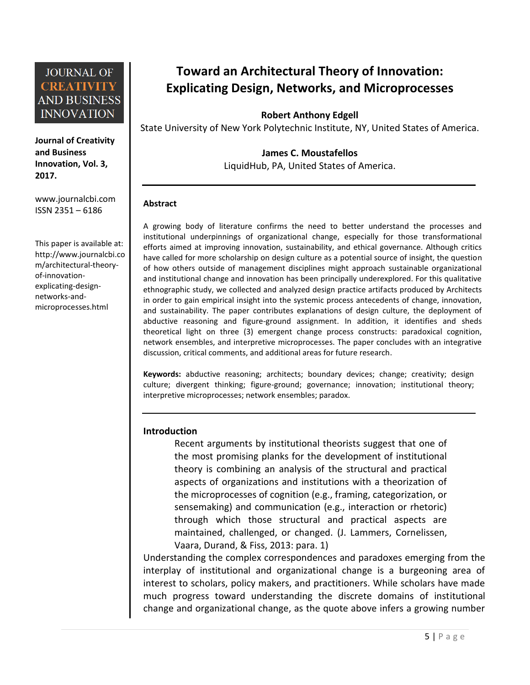**Journal of Creativity and Business Innovation, Vol. 3, 2017.**

[www.journalcbi.com](http://www.journalcbi.com/) ISSN 2351 – 6186

This paper is available at: [http://www.journalcbi.co](http://www.journalcbi.com/ideation-using-analogies.html) [m/architectural-theory](http://www.journalcbi.com/ideation-using-analogies.html)[of-innovation](http://www.journalcbi.com/ideation-using-analogies.html)[explicating-design](http://www.journalcbi.com/ideation-using-analogies.html)[networks-and](http://www.journalcbi.com/ideation-using-analogies.html)[microprocesses.html](http://www.journalcbi.com/ideation-using-analogies.html)

# **Toward an Architectural Theory of Innovation: Explicating Design, Networks, and Microprocesses**

**Robert Anthony Edgell** 

State University of New York Polytechnic Institute, NY, United States of America.

#### **James C. Moustafellos**

LiquidHub, PA, United States of America.

#### **Abstract**

A growing body of literature confirms the need to better understand the processes and institutional underpinnings of organizational change, especially for those transformational efforts aimed at improving innovation, sustainability, and ethical governance. Although critics have called for more scholarship on design culture as a potential source of insight, the question of how others outside of management disciplines might approach sustainable organizational and institutional change and innovation has been principally underexplored. For this qualitative ethnographic study, we collected and analyzed design practice artifacts produced by Architects in order to gain empirical insight into the systemic process antecedents of change, innovation, and sustainability. The paper contributes explanations of design culture, the deployment of abductive reasoning and figure-ground assignment. In addition, it identifies and sheds theoretical light on three (3) emergent change process constructs: paradoxical cognition, network ensembles, and interpretive microprocesses. The paper concludes with an integrative discussion, critical comments, and additional areas for future research.

**Keywords:** abductive reasoning; architects; boundary devices; change; creativity; design culture; divergent thinking; figure-ground; governance; innovation; institutional theory; interpretive microprocesses; network ensembles; paradox.

#### **Introduction**

Recent arguments by institutional theorists suggest that one of the most promising planks for the development of institutional theory is combining an analysis of the structural and practical aspects of organizations and institutions with a theorization of the microprocesses of cognition (e.g., framing, categorization, or sensemaking) and communication (e.g., interaction or rhetoric) through which those structural and practical aspects are maintained, challenged, or changed. (J. Lammers, Cornelissen, Vaara, Durand, & Fiss, 2013: para. 1)

Understanding the complex correspondences and paradoxes emerging from the interplay of institutional and organizational change is a burgeoning area of interest to scholars, policy makers, and practitioners. While scholars have made much progress toward understanding the discrete domains of institutional change and organizational change, as the quote above infers a growing number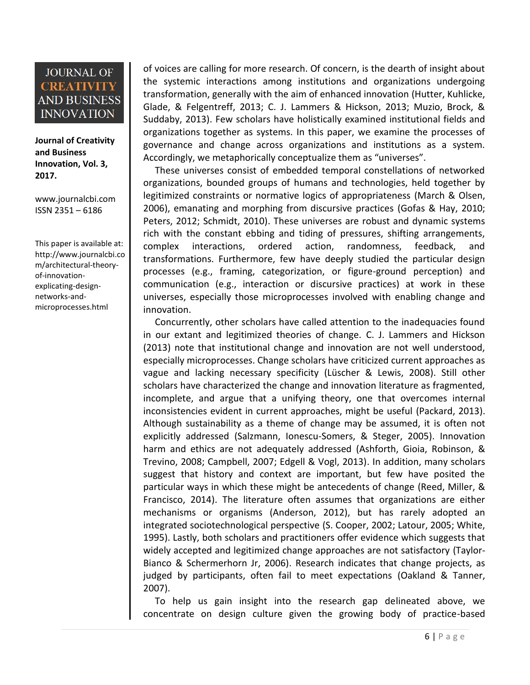**Journal of Creativity and Business Innovation, Vol. 3, 2017.**

[www.journalcbi.com](http://www.journalcbi.com/) ISSN 2351 – 6186

This paper is available at: [http://www.journalcbi.co](http://www.journalcbi.com/ideation-using-analogies.html) [m/architectural-theory](http://www.journalcbi.com/ideation-using-analogies.html)[of-innovation](http://www.journalcbi.com/ideation-using-analogies.html)[explicating-design](http://www.journalcbi.com/ideation-using-analogies.html)[networks-and](http://www.journalcbi.com/ideation-using-analogies.html)[microprocesses.html](http://www.journalcbi.com/ideation-using-analogies.html)

of voices are calling for more research. Of concern, is the dearth of insight about the systemic interactions among institutions and organizations undergoing transformation, generally with the aim of enhanced innovation (Hutter, Kuhlicke, Glade, & Felgentreff, 2013; C. J. Lammers & Hickson, 2013; Muzio, Brock, & Suddaby, 2013). Few scholars have holistically examined institutional fields and organizations together as systems. In this paper, we examine the processes of governance and change across organizations and institutions as a system. Accordingly, we metaphorically conceptualize them as "universes".

These universes consist of embedded temporal constellations of networked organizations, bounded groups of humans and technologies, held together by legitimized constraints or normative logics of appropriateness (March & Olsen, 2006), emanating and morphing from discursive practices (Gofas & Hay, 2010; Peters, 2012; Schmidt, 2010). These universes are robust and dynamic systems rich with the constant ebbing and tiding of pressures, shifting arrangements, complex interactions, ordered action, randomness, feedback, and transformations. Furthermore, few have deeply studied the particular design processes (e.g., framing, categorization, or figure-ground perception) and communication (e.g., interaction or discursive practices) at work in these universes, especially those microprocesses involved with enabling change and innovation.

Concurrently, other scholars have called attention to the inadequacies found in our extant and legitimized theories of change. C. J. Lammers and Hickson (2013) note that institutional change and innovation are not well understood, especially microprocesses. Change scholars have criticized current approaches as vague and lacking necessary specificity (Lüscher & Lewis, 2008). Still other scholars have characterized the change and innovation literature as fragmented, incomplete, and argue that a unifying theory, one that overcomes internal inconsistencies evident in current approaches, might be useful (Packard, 2013). Although sustainability as a theme of change may be assumed, it is often not explicitly addressed (Salzmann, Ionescu-Somers, & Steger, 2005). Innovation harm and ethics are not adequately addressed (Ashforth, Gioia, Robinson, & Trevino, 2008; Campbell, 2007; Edgell & Vogl, 2013). In addition, many scholars suggest that history and context are important, but few have posited the particular ways in which these might be antecedents of change (Reed, Miller, & Francisco, 2014). The literature often assumes that organizations are either mechanisms or organisms (Anderson, 2012), but has rarely adopted an integrated sociotechnological perspective (S. Cooper, 2002; Latour, 2005; White, 1995). Lastly, both scholars and practitioners offer evidence which suggests that widely accepted and legitimized change approaches are not satisfactory (Taylor-Bianco & Schermerhorn Jr, 2006). Research indicates that change projects, as judged by participants, often fail to meet expectations (Oakland & Tanner, 2007).

To help us gain insight into the research gap delineated above, we concentrate on design culture given the growing body of practice-based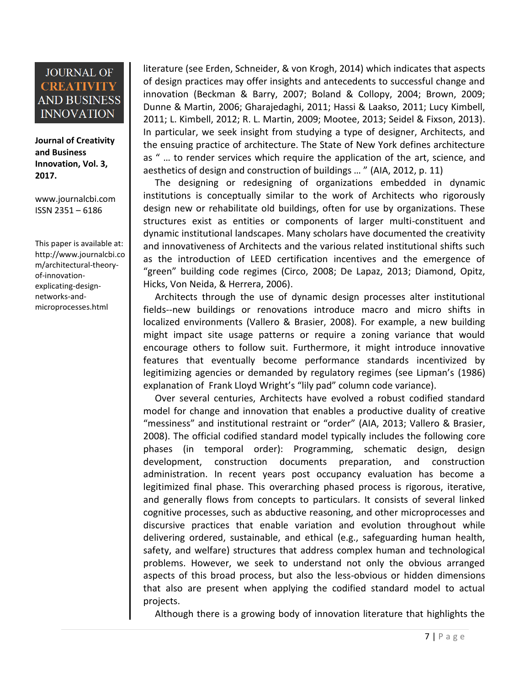**Journal of Creativity and Business Innovation, Vol. 3, 2017.**

[www.journalcbi.com](http://www.journalcbi.com/) ISSN 2351 – 6186

This paper is available at: [http://www.journalcbi.co](http://www.journalcbi.com/ideation-using-analogies.html) [m/architectural-theory](http://www.journalcbi.com/ideation-using-analogies.html)[of-innovation](http://www.journalcbi.com/ideation-using-analogies.html)[explicating-design](http://www.journalcbi.com/ideation-using-analogies.html)[networks-and](http://www.journalcbi.com/ideation-using-analogies.html)[microprocesses.html](http://www.journalcbi.com/ideation-using-analogies.html)

literature (see Erden, Schneider, & von Krogh, 2014) which indicates that aspects of design practices may offer insights and antecedents to successful change and innovation (Beckman & Barry, 2007; Boland & Collopy, 2004; Brown, 2009; Dunne & Martin, 2006; Gharajedaghi, 2011; Hassi & Laakso, 2011; Lucy Kimbell, 2011; L. Kimbell, 2012; R. L. Martin, 2009; Mootee, 2013; Seidel & Fixson, 2013). In particular, we seek insight from studying a type of designer, Architects, and the ensuing practice of architecture. The State of New York defines architecture as " … to render services which require the application of the art, science, and aesthetics of design and construction of buildings … " (AIA, 2012, p. 11)

The designing or redesigning of organizations embedded in dynamic institutions is conceptually similar to the work of Architects who rigorously design new or rehabilitate old buildings, often for use by organizations. These structures exist as entities or components of larger multi-constituent and dynamic institutional landscapes. Many scholars have documented the creativity and innovativeness of Architects and the various related institutional shifts such as the introduction of LEED certification incentives and the emergence of "green" building code regimes (Circo, 2008; De Lapaz, 2013; Diamond, Opitz, Hicks, Von Neida, & Herrera, 2006).

Architects through the use of dynamic design processes alter institutional fields--new buildings or renovations introduce macro and micro shifts in localized environments (Vallero & Brasier, 2008). For example, a new building might impact site usage patterns or require a zoning variance that would encourage others to follow suit. Furthermore, it might introduce innovative features that eventually become performance standards incentivized by legitimizing agencies or demanded by regulatory regimes (see Lipman's (1986) explanation of Frank Lloyd Wright's "lily pad" column code variance).

Over several centuries, Architects have evolved a robust codified standard model for change and innovation that enables a productive duality of creative "messiness" and institutional restraint or "order" (AIA, 2013; Vallero & Brasier, 2008). The official codified standard model typically includes the following core phases (in temporal order): Programming, schematic design, design development, construction documents preparation, and construction administration. In recent years post occupancy evaluation has become a legitimized final phase. This overarching phased process is rigorous, iterative, and generally flows from concepts to particulars. It consists of several linked cognitive processes, such as abductive reasoning, and other microprocesses and discursive practices that enable variation and evolution throughout while delivering ordered, sustainable, and ethical (e.g., safeguarding human health, safety, and welfare) structures that address complex human and technological problems. However, we seek to understand not only the obvious arranged aspects of this broad process, but also the less-obvious or hidden dimensions that also are present when applying the codified standard model to actual projects.

Although there is a growing body of innovation literature that highlights the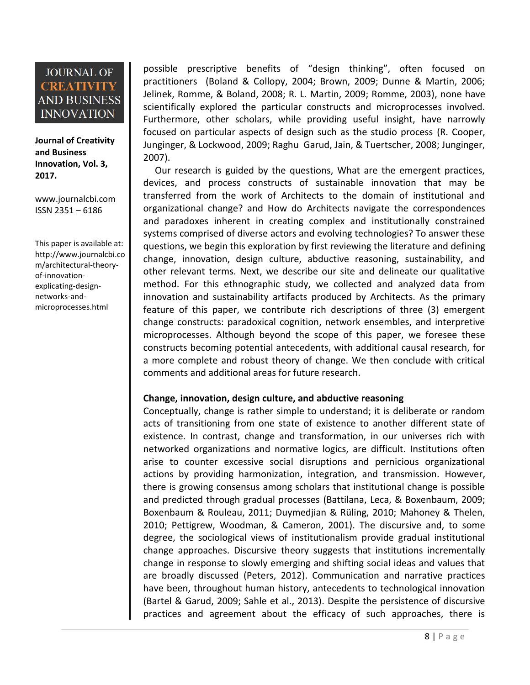**Journal of Creativity and Business Innovation, Vol. 3, 2017.**

[www.journalcbi.com](http://www.journalcbi.com/) ISSN 2351 – 6186

This paper is available at: [http://www.journalcbi.co](http://www.journalcbi.com/ideation-using-analogies.html) [m/architectural-theory](http://www.journalcbi.com/ideation-using-analogies.html)[of-innovation](http://www.journalcbi.com/ideation-using-analogies.html)[explicating-design](http://www.journalcbi.com/ideation-using-analogies.html)[networks-and](http://www.journalcbi.com/ideation-using-analogies.html)[microprocesses.html](http://www.journalcbi.com/ideation-using-analogies.html)

possible prescriptive benefits of "design thinking", often focused on practitioners (Boland & Collopy, 2004; Brown, 2009; Dunne & Martin, 2006; Jelinek, Romme, & Boland, 2008; R. L. Martin, 2009; Romme, 2003), none have scientifically explored the particular constructs and microprocesses involved. Furthermore, other scholars, while providing useful insight, have narrowly focused on particular aspects of design such as the studio process (R. Cooper, Junginger, & Lockwood, 2009; Raghu Garud, Jain, & Tuertscher, 2008; Junginger, 2007).

Our research is guided by the questions, What are the emergent practices, devices, and process constructs of sustainable innovation that may be transferred from the work of Architects to the domain of institutional and organizational change? and How do Architects navigate the correspondences and paradoxes inherent in creating complex and institutionally constrained systems comprised of diverse actors and evolving technologies? To answer these questions, we begin this exploration by first reviewing the literature and defining change, innovation, design culture, abductive reasoning, sustainability, and other relevant terms. Next, we describe our site and delineate our qualitative method. For this ethnographic study, we collected and analyzed data from innovation and sustainability artifacts produced by Architects. As the primary feature of this paper, we contribute rich descriptions of three (3) emergent change constructs: paradoxical cognition, network ensembles, and interpretive microprocesses. Although beyond the scope of this paper, we foresee these constructs becoming potential antecedents, with additional causal research, for a more complete and robust theory of change. We then conclude with critical comments and additional areas for future research.

#### **Change, innovation, design culture, and abductive reasoning**

Conceptually, change is rather simple to understand; it is deliberate or random acts of transitioning from one state of existence to another different state of existence. In contrast, change and transformation, in our universes rich with networked organizations and normative logics, are difficult. Institutions often arise to counter excessive social disruptions and pernicious organizational actions by providing harmonization, integration, and transmission. However, there is growing consensus among scholars that institutional change is possible and predicted through gradual processes (Battilana, Leca, & Boxenbaum, 2009; Boxenbaum & Rouleau, 2011; Duymedjian & Rüling, 2010; Mahoney & Thelen, 2010; Pettigrew, Woodman, & Cameron, 2001). The discursive and, to some degree, the sociological views of institutionalism provide gradual institutional change approaches. Discursive theory suggests that institutions incrementally change in response to slowly emerging and shifting social ideas and values that are broadly discussed (Peters, 2012). Communication and narrative practices have been, throughout human history, antecedents to technological innovation (Bartel & Garud, 2009; Sahle et al., 2013). Despite the persistence of discursive practices and agreement about the efficacy of such approaches, there is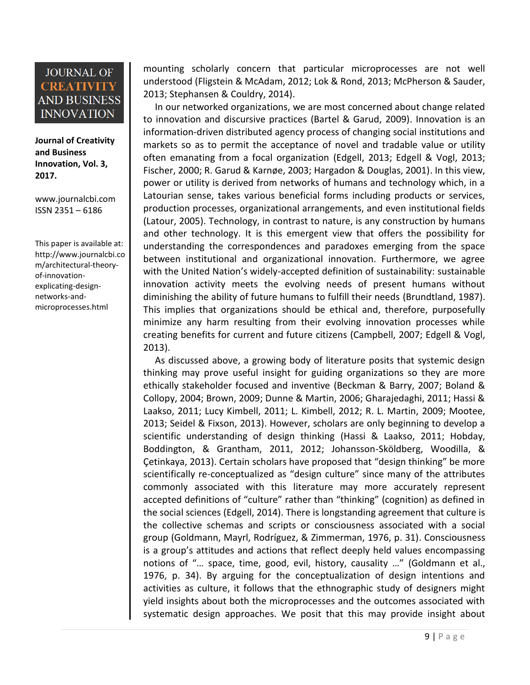**Journal of Creativity and Business Innovation, Vol. 3, 2017.**

[www.journalcbi.com](http://www.journalcbi.com/) ISSN 2351 – 6186

This paper is available at: [http://www.journalcbi.co](http://www.journalcbi.com/ideation-using-analogies.html) [m/architectural-theory](http://www.journalcbi.com/ideation-using-analogies.html)[of-innovation](http://www.journalcbi.com/ideation-using-analogies.html)[explicating-design](http://www.journalcbi.com/ideation-using-analogies.html)[networks-and](http://www.journalcbi.com/ideation-using-analogies.html)[microprocesses.html](http://www.journalcbi.com/ideation-using-analogies.html)

mounting scholarly concern that particular microprocesses are not well understood (Fligstein & McAdam, 2012; Lok & Rond, 2013; McPherson & Sauder, 2013; Stephansen & Couldry, 2014).

In our networked organizations, we are most concerned about change related to innovation and discursive practices (Bartel & Garud, 2009). Innovation is an information-driven distributed agency process of changing social institutions and markets so as to permit the acceptance of novel and tradable value or utility often emanating from a focal organization (Edgell, 2013; Edgell & Vogl, 2013; Fischer, 2000; R. Garud & Karnøe, 2003; Hargadon & Douglas, 2001). In this view, power or utility is derived from networks of humans and technology which, in a Latourian sense, takes various beneficial forms including products or services, production processes, organizational arrangements, and even institutional fields (Latour, 2005). Technology, in contrast to nature, is any construction by humans and other technology. It is this emergent view that offers the possibility for understanding the correspondences and paradoxes emerging from the space between institutional and organizational innovation. Furthermore, we agree with the United Nation's widely-accepted definition of sustainability: sustainable innovation activity meets the evolving needs of present humans without diminishing the ability of future humans to fulfill their needs (Brundtland, 1987). This implies that organizations should be ethical and, therefore, purposefully minimize any harm resulting from their evolving innovation processes while creating benefits for current and future citizens (Campbell, 2007; Edgell & Vogl, 2013).

As discussed above, a growing body of literature posits that systemic design thinking may prove useful insight for guiding organizations so they are more ethically stakeholder focused and inventive (Beckman & Barry, 2007; Boland & Collopy, 2004; Brown, 2009; Dunne & Martin, 2006; Gharajedaghi, 2011; Hassi & Laakso, 2011; Lucy Kimbell, 2011; L. Kimbell, 2012; R. L. Martin, 2009; Mootee, 2013; Seidel & Fixson, 2013). However, scholars are only beginning to develop a scientific understanding of design thinking (Hassi & Laakso, 2011; Hobday, Boddington, & Grantham, 2011, 2012; Johansson-Sköldberg, Woodilla, & Çetinkaya, 2013). Certain scholars have proposed that "design thinking" be more scientifically re-conceptualized as "design culture" since many of the attributes commonly associated with this literature may more accurately represent accepted definitions of "culture" rather than "thinking" (cognition) as defined in the social sciences (Edgell, 2014). There is longstanding agreement that culture is the collective schemas and scripts or consciousness associated with a social group (Goldmann, Mayrl, Rodríguez, & Zimmerman, 1976, p. 31). Consciousness is a group's attitudes and actions that reflect deeply held values encompassing notions of "… space, time, good, evil, history, causality …" (Goldmann et al., 1976, p. 34). By arguing for the conceptualization of design intentions and activities as culture, it follows that the ethnographic study of designers might yield insights about both the microprocesses and the outcomes associated with systematic design approaches. We posit that this may provide insight about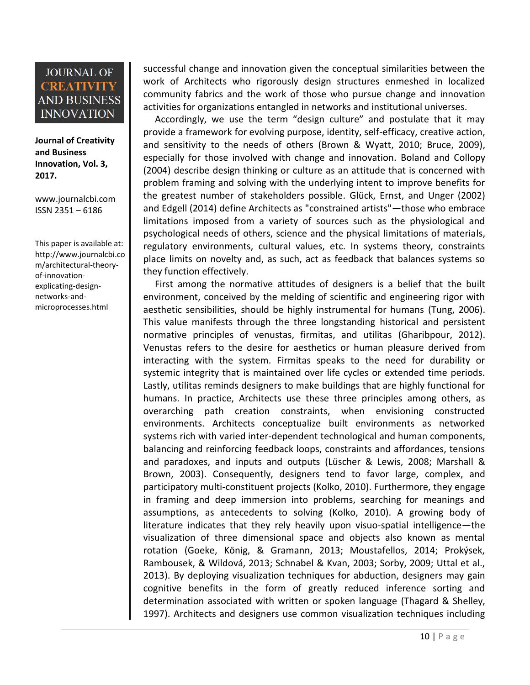**Journal of Creativity and Business Innovation, Vol. 3, 2017.**

[www.journalcbi.com](http://www.journalcbi.com/) ISSN 2351 – 6186

This paper is available at: [http://www.journalcbi.co](http://www.journalcbi.com/ideation-using-analogies.html) [m/architectural-theory](http://www.journalcbi.com/ideation-using-analogies.html)[of-innovation](http://www.journalcbi.com/ideation-using-analogies.html)[explicating-design](http://www.journalcbi.com/ideation-using-analogies.html)[networks-and](http://www.journalcbi.com/ideation-using-analogies.html)[microprocesses.html](http://www.journalcbi.com/ideation-using-analogies.html)

successful change and innovation given the conceptual similarities between the work of Architects who rigorously design structures enmeshed in localized community fabrics and the work of those who pursue change and innovation activities for organizations entangled in networks and institutional universes.

Accordingly, we use the term "design culture" and postulate that it may provide a framework for evolving purpose, identity, self-efficacy, creative action, and sensitivity to the needs of others (Brown & Wyatt, 2010; Bruce, 2009), especially for those involved with change and innovation. Boland and Collopy (2004) describe design thinking or culture as an attitude that is concerned with problem framing and solving with the underlying intent to improve benefits for the greatest number of stakeholders possible. Glück, Ernst, and Unger (2002) and Edgell (2014) define Architects as "constrained artists"—those who embrace limitations imposed from a variety of sources such as the physiological and psychological needs of others, science and the physical limitations of materials, regulatory environments, cultural values, etc. In systems theory, constraints place limits on novelty and, as such, act as feedback that balances systems so they function effectively.

First among the normative attitudes of designers is a belief that the built environment, conceived by the melding of scientific and engineering rigor with aesthetic sensibilities, should be highly instrumental for humans (Tung, 2006). This value manifests through the three longstanding historical and persistent normative principles of venustas, firmitas, and utilitas (Gharibpour, 2012). Venustas refers to the desire for aesthetics or human pleasure derived from interacting with the system. Firmitas speaks to the need for durability or systemic integrity that is maintained over life cycles or extended time periods. Lastly, utilitas reminds designers to make buildings that are highly functional for humans. In practice, Architects use these three principles among others, as overarching path creation constraints, when envisioning constructed environments. Architects conceptualize built environments as networked systems rich with varied inter-dependent technological and human components, balancing and reinforcing feedback loops, constraints and affordances, tensions and paradoxes, and inputs and outputs (Lüscher & Lewis, 2008; Marshall & Brown, 2003). Consequently, designers tend to favor large, complex, and participatory multi-constituent projects (Kolko, 2010). Furthermore, they engage in framing and deep immersion into problems, searching for meanings and assumptions, as antecedents to solving (Kolko, 2010). A growing body of literature indicates that they rely heavily upon visuo-spatial intelligence—the visualization of three dimensional space and objects also known as mental rotation (Goeke, König, & Gramann, 2013; Moustafellos, 2014; Prokýsek, Rambousek, & Wildová, 2013; Schnabel & Kvan, 2003; Sorby, 2009; Uttal et al., 2013). By deploying visualization techniques for abduction, designers may gain cognitive benefits in the form of greatly reduced inference sorting and determination associated with written or spoken language (Thagard & Shelley, 1997). Architects and designers use common visualization techniques including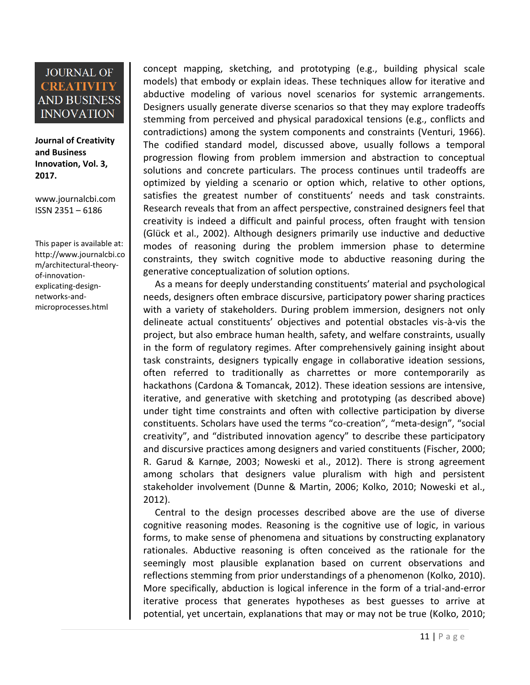**Journal of Creativity and Business Innovation, Vol. 3, 2017.**

[www.journalcbi.com](http://www.journalcbi.com/) ISSN 2351 – 6186

This paper is available at: [http://www.journalcbi.co](http://www.journalcbi.com/ideation-using-analogies.html) [m/architectural-theory](http://www.journalcbi.com/ideation-using-analogies.html)[of-innovation](http://www.journalcbi.com/ideation-using-analogies.html)[explicating-design](http://www.journalcbi.com/ideation-using-analogies.html)[networks-and](http://www.journalcbi.com/ideation-using-analogies.html)[microprocesses.html](http://www.journalcbi.com/ideation-using-analogies.html)

concept mapping, sketching, and prototyping (e.g., building physical scale models) that embody or explain ideas. These techniques allow for iterative and abductive modeling of various novel scenarios for systemic arrangements. Designers usually generate diverse scenarios so that they may explore tradeoffs stemming from perceived and physical paradoxical tensions (e.g., conflicts and contradictions) among the system components and constraints (Venturi, 1966). The codified standard model, discussed above, usually follows a temporal progression flowing from problem immersion and abstraction to conceptual solutions and concrete particulars. The process continues until tradeoffs are optimized by yielding a scenario or option which, relative to other options, satisfies the greatest number of constituents' needs and task constraints. Research reveals that from an affect perspective, constrained designers feel that creativity is indeed a difficult and painful process, often fraught with tension (Glück et al., 2002). Although designers primarily use inductive and deductive modes of reasoning during the problem immersion phase to determine constraints, they switch cognitive mode to abductive reasoning during the generative conceptualization of solution options.

As a means for deeply understanding constituents' material and psychological needs, designers often embrace discursive, participatory power sharing practices with a variety of stakeholders. During problem immersion, designers not only delineate actual constituents' objectives and potential obstacles vis-à-vis the project, but also embrace human health, safety, and welfare constraints, usually in the form of regulatory regimes. After comprehensively gaining insight about task constraints, designers typically engage in collaborative ideation sessions, often referred to traditionally as charrettes or more contemporarily as hackathons (Cardona & Tomancak, 2012). These ideation sessions are intensive, iterative, and generative with sketching and prototyping (as described above) under tight time constraints and often with collective participation by diverse constituents. Scholars have used the terms "co-creation", "meta-design", "social creativity", and "distributed innovation agency" to describe these participatory and discursive practices among designers and varied constituents (Fischer, 2000; R. Garud & Karnøe, 2003; Noweski et al., 2012). There is strong agreement among scholars that designers value pluralism with high and persistent stakeholder involvement (Dunne & Martin, 2006; Kolko, 2010; Noweski et al., 2012).

Central to the design processes described above are the use of diverse cognitive reasoning modes. Reasoning is the cognitive use of logic, in various forms, to make sense of phenomena and situations by constructing explanatory rationales. Abductive reasoning is often conceived as the rationale for the seemingly most plausible explanation based on current observations and reflections stemming from prior understandings of a phenomenon (Kolko, 2010). More specifically, abduction is logical inference in the form of a trial-and-error iterative process that generates hypotheses as best guesses to arrive at potential, yet uncertain, explanations that may or may not be true (Kolko, 2010;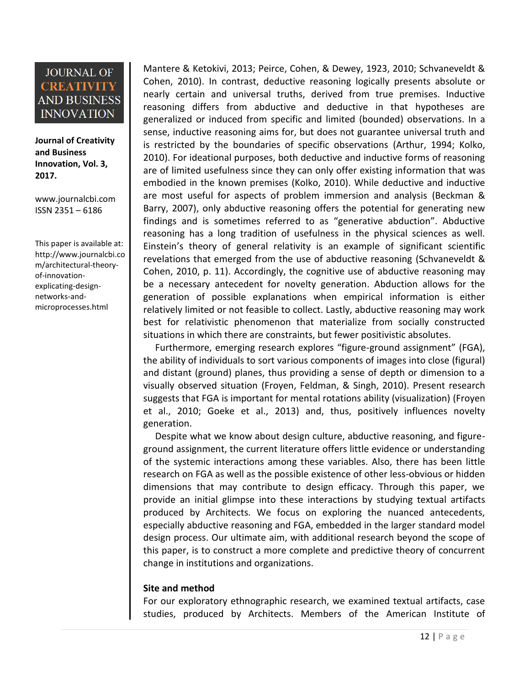**Journal of Creativity and Business Innovation, Vol. 3, 2017.**

[www.journalcbi.com](http://www.journalcbi.com/) ISSN 2351 – 6186

This paper is available at: [http://www.journalcbi.co](http://www.journalcbi.com/ideation-using-analogies.html) [m/architectural-theory](http://www.journalcbi.com/ideation-using-analogies.html)[of-innovation](http://www.journalcbi.com/ideation-using-analogies.html)[explicating-design](http://www.journalcbi.com/ideation-using-analogies.html)[networks-and](http://www.journalcbi.com/ideation-using-analogies.html)[microprocesses.html](http://www.journalcbi.com/ideation-using-analogies.html)

Mantere & Ketokivi, 2013; Peirce, Cohen, & Dewey, 1923, 2010; Schvaneveldt & Cohen, 2010). In contrast, deductive reasoning logically presents absolute or nearly certain and universal truths, derived from true premises. Inductive reasoning differs from abductive and deductive in that hypotheses are generalized or induced from specific and limited (bounded) observations. In a sense, inductive reasoning aims for, but does not guarantee universal truth and is restricted by the boundaries of specific observations (Arthur, 1994; Kolko, 2010). For ideational purposes, both deductive and inductive forms of reasoning are of limited usefulness since they can only offer existing information that was embodied in the known premises (Kolko, 2010). While deductive and inductive are most useful for aspects of problem immersion and analysis (Beckman & Barry, 2007), only abductive reasoning offers the potential for generating new findings and is sometimes referred to as "generative abduction". Abductive reasoning has a long tradition of usefulness in the physical sciences as well. Einstein's theory of general relativity is an example of significant scientific revelations that emerged from the use of abductive reasoning (Schvaneveldt & Cohen, 2010, p. 11). Accordingly, the cognitive use of abductive reasoning may be a necessary antecedent for novelty generation. Abduction allows for the generation of possible explanations when empirical information is either relatively limited or not feasible to collect. Lastly, abductive reasoning may work best for relativistic phenomenon that materialize from socially constructed situations in which there are constraints, but fewer positivistic absolutes.

Furthermore, emerging research explores "figure-ground assignment" (FGA), the ability of individuals to sort various components of images into close (figural) and distant (ground) planes, thus providing a sense of depth or dimension to a visually observed situation (Froyen, Feldman, & Singh, 2010). Present research suggests that FGA is important for mental rotations ability (visualization) (Froyen et al., 2010; Goeke et al., 2013) and, thus, positively influences novelty generation.

Despite what we know about design culture, abductive reasoning, and figureground assignment, the current literature offers little evidence or understanding of the systemic interactions among these variables. Also, there has been little research on FGA as well as the possible existence of other less-obvious or hidden dimensions that may contribute to design efficacy. Through this paper, we provide an initial glimpse into these interactions by studying textual artifacts produced by Architects. We focus on exploring the nuanced antecedents, especially abductive reasoning and FGA, embedded in the larger standard model design process. Our ultimate aim, with additional research beyond the scope of this paper, is to construct a more complete and predictive theory of concurrent change in institutions and organizations.

#### **Site and method**

For our exploratory ethnographic research, we examined textual artifacts, case studies, produced by Architects. Members of the American Institute of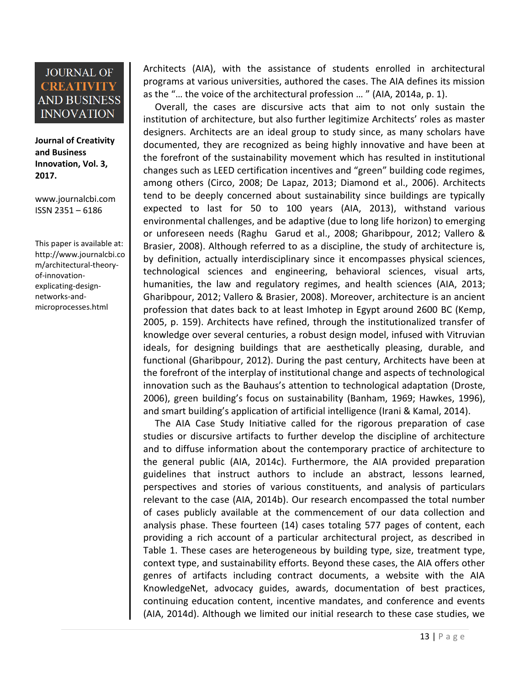**Journal of Creativity and Business Innovation, Vol. 3, 2017.**

[www.journalcbi.com](http://www.journalcbi.com/) ISSN 2351 – 6186

This paper is available at: [http://www.journalcbi.co](http://www.journalcbi.com/ideation-using-analogies.html) [m/architectural-theory](http://www.journalcbi.com/ideation-using-analogies.html)[of-innovation](http://www.journalcbi.com/ideation-using-analogies.html)[explicating-design](http://www.journalcbi.com/ideation-using-analogies.html)[networks-and](http://www.journalcbi.com/ideation-using-analogies.html)[microprocesses.html](http://www.journalcbi.com/ideation-using-analogies.html)

Architects (AIA), with the assistance of students enrolled in architectural programs at various universities, authored the cases. The AIA defines its mission as the "… the voice of the architectural profession … " (AIA, 2014a, p. 1).

Overall, the cases are discursive acts that aim to not only sustain the institution of architecture, but also further legitimize Architects' roles as master designers. Architects are an ideal group to study since, as many scholars have documented, they are recognized as being highly innovative and have been at the forefront of the sustainability movement which has resulted in institutional changes such as LEED certification incentives and "green" building code regimes, among others (Circo, 2008; De Lapaz, 2013; Diamond et al., 2006). Architects tend to be deeply concerned about sustainability since buildings are typically expected to last for 50 to 100 years (AIA, 2013), withstand various environmental challenges, and be adaptive (due to long life horizon) to emerging or unforeseen needs (Raghu Garud et al., 2008; Gharibpour, 2012; Vallero & Brasier, 2008). Although referred to as a discipline, the study of architecture is, by definition, actually interdisciplinary since it encompasses physical sciences, technological sciences and engineering, behavioral sciences, visual arts, humanities, the law and regulatory regimes, and health sciences (AIA, 2013; Gharibpour, 2012; Vallero & Brasier, 2008). Moreover, architecture is an ancient profession that dates back to at least Imhotep in Egypt around 2600 BC (Kemp, 2005, p. 159). Architects have refined, through the institutionalized transfer of knowledge over several centuries, a robust design model, infused with Vitruvian ideals, for designing buildings that are aesthetically pleasing, durable, and functional (Gharibpour, 2012). During the past century, Architects have been at the forefront of the interplay of institutional change and aspects of technological innovation such as the Bauhaus's attention to technological adaptation (Droste, 2006), green building's focus on sustainability (Banham, 1969; Hawkes, 1996), and smart building's application of artificial intelligence (Irani & Kamal, 2014).

The AIA Case Study Initiative called for the rigorous preparation of case studies or discursive artifacts to further develop the discipline of architecture and to diffuse information about the contemporary practice of architecture to the general public (AIA, 2014c). Furthermore, the AIA provided preparation guidelines that instruct authors to include an abstract, lessons learned, perspectives and stories of various constituents, and analysis of particulars relevant to the case (AIA, 2014b). Our research encompassed the total number of cases publicly available at the commencement of our data collection and analysis phase. These fourteen (14) cases totaling 577 pages of content, each providing a rich account of a particular architectural project, as described in Table 1. These cases are heterogeneous by building type, size, treatment type, context type, and sustainability efforts. Beyond these cases, the AIA offers other genres of artifacts including contract documents, a website with the AIA KnowledgeNet, advocacy guides, awards, documentation of best practices, continuing education content, incentive mandates, and conference and events (AIA, 2014d). Although we limited our initial research to these case studies, we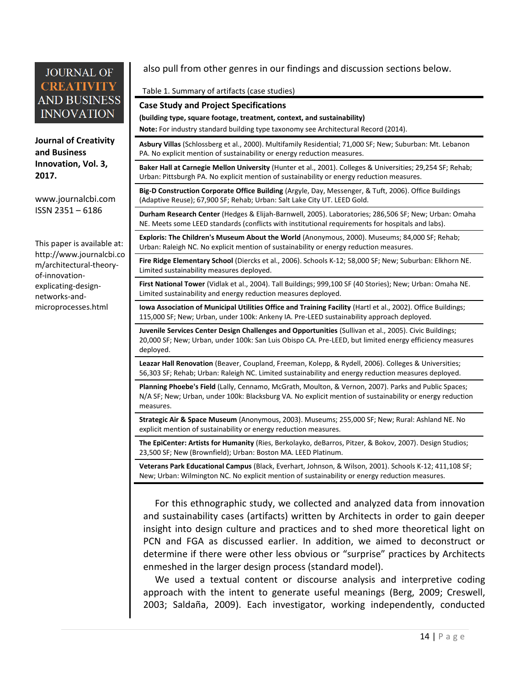**Journal of Creativity and Business Innovation, Vol. 3, 2017.**

[www.journalcbi.com](http://www.journalcbi.com/) ISSN 2351 – 6186

This paper is available at: [http://www.journalcbi.co](http://www.journalcbi.com/ideation-using-analogies.html) [m/architectural-theory](http://www.journalcbi.com/ideation-using-analogies.html)[of-innovation](http://www.journalcbi.com/ideation-using-analogies.html)[explicating-design](http://www.journalcbi.com/ideation-using-analogies.html)[networks-and](http://www.journalcbi.com/ideation-using-analogies.html)[microprocesses.html](http://www.journalcbi.com/ideation-using-analogies.html)

also pull from other genres in our findings and discussion sections below.

#### Table 1. Summary of artifacts (case studies)

#### **Case Study and Project Specifications**

**(building type, square footage, treatment, context, and sustainability)**

**Note:** For industry standard building type taxonomy see Architectural Record (2014).

**Asbury Villas** (Schlossberg et al., 2000). Multifamily Residential; 71,000 SF; New; Suburban: Mt. Lebanon PA. No explicit mention of sustainability or energy reduction measures.

**Baker Hall at Carnegie Mellon University** (Hunter et al., 2001). Colleges & Universities; 29,254 SF; Rehab; Urban: Pittsburgh PA. No explicit mention of sustainability or energy reduction measures.

**Big-D Construction Corporate Office Building** (Argyle, Day, Messenger, & Tuft, 2006). Office Buildings (Adaptive Reuse); 67,900 SF; Rehab; Urban: Salt Lake City UT. LEED Gold.

**Durham Research Center** (Hedges & Elijah-Barnwell, 2005). Laboratories; 286,506 SF; New; Urban: Omaha NE. Meets some LEED standards (conflicts with institutional requirements for hospitals and labs).

**Exploris: The Children's Museum About the World** (Anonymous, 2000). Museums; 84,000 SF; Rehab; Urban: Raleigh NC. No explicit mention of sustainability or energy reduction measures.

**Fire Ridge Elementary School** (Diercks et al., 2006). Schools K-12; 58,000 SF; New; Suburban: Elkhorn NE. Limited sustainability measures deployed.

**First National Tower** (Vidlak et al., 2004). Tall Buildings; 999,100 SF (40 Stories); New; Urban: Omaha NE. Limited sustainability and energy reduction measures deployed.

**Iowa Association of Municipal Utilities Office and Training Facility** (Hartl et al., 2002). Office Buildings; 115,000 SF; New; Urban, under 100k: Ankeny IA. Pre-LEED sustainability approach deployed.

**Juvenile Services Center Design Challenges and Opportunities** (Sullivan et al., 2005). Civic Buildings; 20,000 SF; New; Urban, under 100k: San Luis Obispo CA. Pre-LEED, but limited energy efficiency measures deployed.

**Leazar Hall Renovation** (Beaver, Coupland, Freeman, Kolepp, & Rydell, 2006). Colleges & Universities; 56,303 SF; Rehab; Urban: Raleigh NC. Limited sustainability and energy reduction measures deployed.

**Planning Phoebe's Field** (Lally, Cennamo, McGrath, Moulton, & Vernon, 2007). Parks and Public Spaces; N/A SF; New; Urban, under 100k: Blacksburg VA. No explicit mention of sustainability or energy reduction measures.

**Strategic Air & Space Museum** (Anonymous, 2003). Museums; 255,000 SF; New; Rural: Ashland NE. No explicit mention of sustainability or energy reduction measures.

**The EpiCenter: Artists for Humanity** (Ries, Berkolayko, deBarros, Pitzer, & Bokov, 2007). Design Studios; 23,500 SF; New (Brownfield); Urban: Boston MA. LEED Platinum.

**Veterans Park Educational Campus** (Black, Everhart, Johnson, & Wilson, 2001). Schools K-12; 411,108 SF; New; Urban: Wilmington NC. No explicit mention of sustainability or energy reduction measures.

For this ethnographic study, we collected and analyzed data from innovation and sustainability cases (artifacts) written by Architects in order to gain deeper insight into design culture and practices and to shed more theoretical light on PCN and FGA as discussed earlier. In addition, we aimed to deconstruct or determine if there were other less obvious or "surprise" practices by Architects enmeshed in the larger design process (standard model).

We used a textual content or discourse analysis and interpretive coding approach with the intent to generate useful meanings (Berg, 2009; Creswell, 2003; Saldaña, 2009). Each investigator, working independently, conducted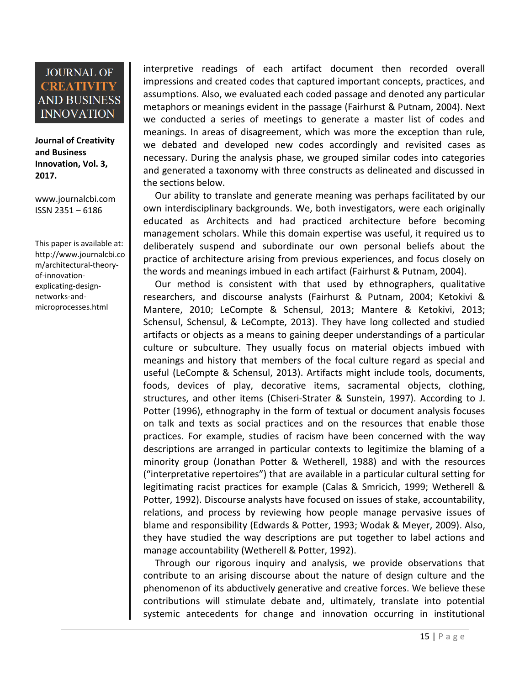**Journal of Creativity and Business Innovation, Vol. 3, 2017.**

[www.journalcbi.com](http://www.journalcbi.com/) ISSN 2351 – 6186

This paper is available at: [http://www.journalcbi.co](http://www.journalcbi.com/ideation-using-analogies.html) [m/architectural-theory](http://www.journalcbi.com/ideation-using-analogies.html)[of-innovation](http://www.journalcbi.com/ideation-using-analogies.html)[explicating-design](http://www.journalcbi.com/ideation-using-analogies.html)[networks-and](http://www.journalcbi.com/ideation-using-analogies.html)[microprocesses.html](http://www.journalcbi.com/ideation-using-analogies.html)

interpretive readings of each artifact document then recorded overall impressions and created codes that captured important concepts, practices, and assumptions. Also, we evaluated each coded passage and denoted any particular metaphors or meanings evident in the passage (Fairhurst & Putnam, 2004). Next we conducted a series of meetings to generate a master list of codes and meanings. In areas of disagreement, which was more the exception than rule, we debated and developed new codes accordingly and revisited cases as necessary. During the analysis phase, we grouped similar codes into categories and generated a taxonomy with three constructs as delineated and discussed in the sections below.

Our ability to translate and generate meaning was perhaps facilitated by our own interdisciplinary backgrounds. We, both investigators, were each originally educated as Architects and had practiced architecture before becoming management scholars. While this domain expertise was useful, it required us to deliberately suspend and subordinate our own personal beliefs about the practice of architecture arising from previous experiences, and focus closely on the words and meanings imbued in each artifact (Fairhurst & Putnam, 2004).

Our method is consistent with that used by ethnographers, qualitative researchers, and discourse analysts (Fairhurst & Putnam, 2004; Ketokivi & Mantere, 2010; LeCompte & Schensul, 2013; Mantere & Ketokivi, 2013; Schensul, Schensul, & LeCompte, 2013). They have long collected and studied artifacts or objects as a means to gaining deeper understandings of a particular culture or subculture. They usually focus on material objects imbued with meanings and history that members of the focal culture regard as special and useful (LeCompte & Schensul, 2013). Artifacts might include tools, documents, foods, devices of play, decorative items, sacramental objects, clothing, structures, and other items (Chiseri-Strater & Sunstein, 1997). According to J. Potter (1996), ethnography in the form of textual or document analysis focuses on talk and texts as social practices and on the resources that enable those practices. For example, studies of racism have been concerned with the way descriptions are arranged in particular contexts to legitimize the blaming of a minority group (Jonathan Potter & Wetherell, 1988) and with the resources ("interpretative repertoires") that are available in a particular cultural setting for legitimating racist practices for example (Calas & Smricich, 1999; Wetherell & Potter, 1992). Discourse analysts have focused on issues of stake, accountability, relations, and process by reviewing how people manage pervasive issues of blame and responsibility (Edwards & Potter, 1993; Wodak & Meyer, 2009). Also, they have studied the way descriptions are put together to label actions and manage accountability (Wetherell & Potter, 1992).

Through our rigorous inquiry and analysis, we provide observations that contribute to an arising discourse about the nature of design culture and the phenomenon of its abductively generative and creative forces. We believe these contributions will stimulate debate and, ultimately, translate into potential systemic antecedents for change and innovation occurring in institutional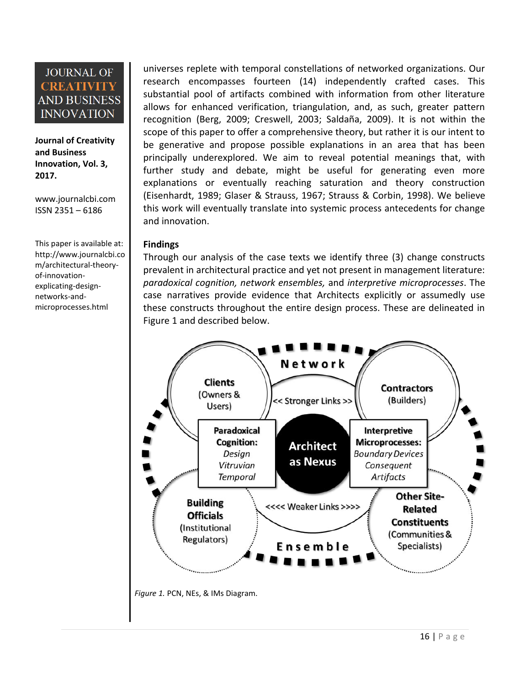**Journal of Creativity and Business Innovation, Vol. 3, 2017.**

[www.journalcbi.com](http://www.journalcbi.com/) ISSN 2351 – 6186

This paper is available at: [http://www.journalcbi.co](http://www.journalcbi.com/ideation-using-analogies.html) [m/architectural-theory](http://www.journalcbi.com/ideation-using-analogies.html)[of-innovation](http://www.journalcbi.com/ideation-using-analogies.html)[explicating-design](http://www.journalcbi.com/ideation-using-analogies.html)[networks-and](http://www.journalcbi.com/ideation-using-analogies.html)[microprocesses.html](http://www.journalcbi.com/ideation-using-analogies.html)

universes replete with temporal constellations of networked organizations. Our research encompasses fourteen (14) independently crafted cases. This substantial pool of artifacts combined with information from other literature allows for enhanced verification, triangulation, and, as such, greater pattern recognition (Berg, 2009; Creswell, 2003; Saldaña, 2009). It is not within the scope of this paper to offer a comprehensive theory, but rather it is our intent to be generative and propose possible explanations in an area that has been principally underexplored. We aim to reveal potential meanings that, with further study and debate, might be useful for generating even more explanations or eventually reaching saturation and theory construction (Eisenhardt, 1989; Glaser & Strauss, 1967; Strauss & Corbin, 1998). We believe this work will eventually translate into systemic process antecedents for change and innovation.

#### **Findings**

Through our analysis of the case texts we identify three (3) change constructs prevalent in architectural practice and yet not present in management literature: *paradoxical cognition, network ensembles,* and *interpretive microprocesses*. The case narratives provide evidence that Architects explicitly or assumedly use these constructs throughout the entire design process. These are delineated in Figure 1 and described below.

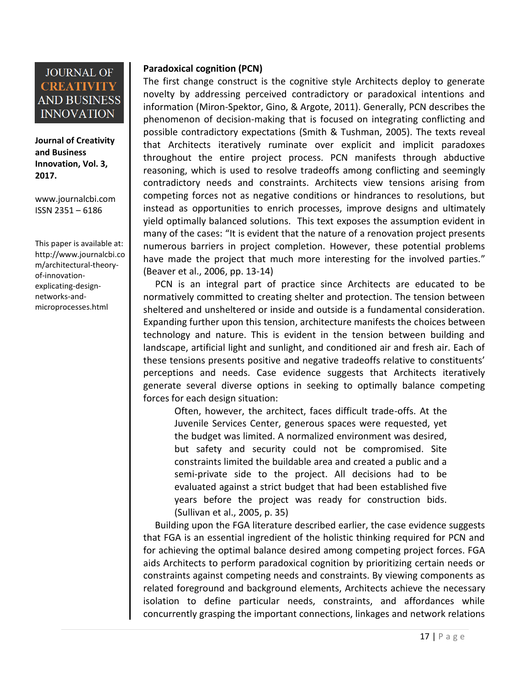**Journal of Creativity and Business Innovation, Vol. 3, 2017.**

[www.journalcbi.com](http://www.journalcbi.com/) ISSN 2351 – 6186

This paper is available at: [http://www.journalcbi.co](http://www.journalcbi.com/ideation-using-analogies.html) [m/architectural-theory](http://www.journalcbi.com/ideation-using-analogies.html)[of-innovation](http://www.journalcbi.com/ideation-using-analogies.html)[explicating-design](http://www.journalcbi.com/ideation-using-analogies.html)[networks-and](http://www.journalcbi.com/ideation-using-analogies.html)[microprocesses.html](http://www.journalcbi.com/ideation-using-analogies.html)

#### **Paradoxical cognition (PCN)**

The first change construct is the cognitive style Architects deploy to generate novelty by addressing perceived contradictory or paradoxical intentions and information (Miron-Spektor, Gino, & Argote, 2011). Generally, PCN describes the phenomenon of decision-making that is focused on integrating conflicting and possible contradictory expectations (Smith & Tushman, 2005). The texts reveal that Architects iteratively ruminate over explicit and implicit paradoxes throughout the entire project process. PCN manifests through abductive reasoning, which is used to resolve tradeoffs among conflicting and seemingly contradictory needs and constraints. Architects view tensions arising from competing forces not as negative conditions or hindrances to resolutions, but instead as opportunities to enrich processes, improve designs and ultimately yield optimally balanced solutions. This text exposes the assumption evident in many of the cases: "It is evident that the nature of a renovation project presents numerous barriers in project completion. However, these potential problems have made the project that much more interesting for the involved parties." (Beaver et al., 2006, pp. 13-14)

PCN is an integral part of practice since Architects are educated to be normatively committed to creating shelter and protection. The tension between sheltered and unsheltered or inside and outside is a fundamental consideration. Expanding further upon this tension, architecture manifests the choices between technology and nature. This is evident in the tension between building and landscape, artificial light and sunlight, and conditioned air and fresh air. Each of these tensions presents positive and negative tradeoffs relative to constituents' perceptions and needs. Case evidence suggests that Architects iteratively generate several diverse options in seeking to optimally balance competing forces for each design situation:

Often, however, the architect, faces difficult trade-offs. At the Juvenile Services Center, generous spaces were requested, yet the budget was limited. A normalized environment was desired, but safety and security could not be compromised. Site constraints limited the buildable area and created a public and a semi-private side to the project. All decisions had to be evaluated against a strict budget that had been established five years before the project was ready for construction bids. (Sullivan et al., 2005, p. 35)

Building upon the FGA literature described earlier, the case evidence suggests that FGA is an essential ingredient of the holistic thinking required for PCN and for achieving the optimal balance desired among competing project forces. FGA aids Architects to perform paradoxical cognition by prioritizing certain needs or constraints against competing needs and constraints. By viewing components as related foreground and background elements, Architects achieve the necessary isolation to define particular needs, constraints, and affordances while concurrently grasping the important connections, linkages and network relations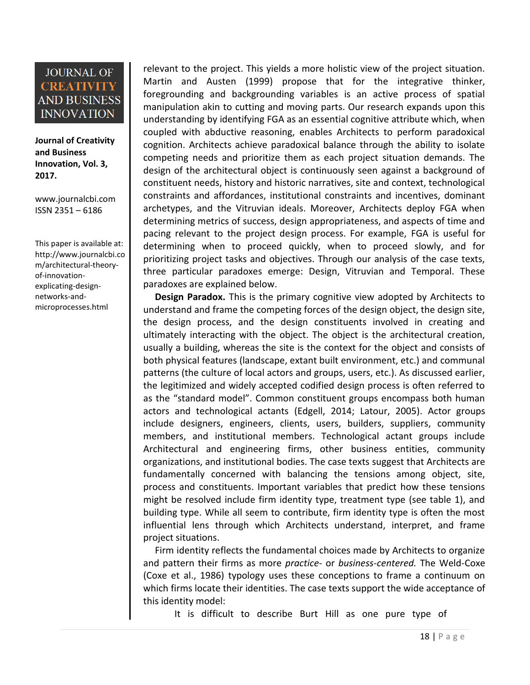**Journal of Creativity and Business Innovation, Vol. 3, 2017.**

[www.journalcbi.com](http://www.journalcbi.com/) ISSN 2351 – 6186

This paper is available at: [http://www.journalcbi.co](http://www.journalcbi.com/ideation-using-analogies.html) [m/architectural-theory](http://www.journalcbi.com/ideation-using-analogies.html)[of-innovation](http://www.journalcbi.com/ideation-using-analogies.html)[explicating-design](http://www.journalcbi.com/ideation-using-analogies.html)[networks-and](http://www.journalcbi.com/ideation-using-analogies.html)[microprocesses.html](http://www.journalcbi.com/ideation-using-analogies.html)

relevant to the project. This yields a more holistic view of the project situation. Martin and Austen (1999) propose that for the integrative thinker, foregrounding and backgrounding variables is an active process of spatial manipulation akin to cutting and moving parts. Our research expands upon this understanding by identifying FGA as an essential cognitive attribute which, when coupled with abductive reasoning, enables Architects to perform paradoxical cognition. Architects achieve paradoxical balance through the ability to isolate competing needs and prioritize them as each project situation demands. The design of the architectural object is continuously seen against a background of constituent needs, history and historic narratives, site and context, technological constraints and affordances, institutional constraints and incentives, dominant archetypes, and the Vitruvian ideals. Moreover, Architects deploy FGA when determining metrics of success, design appropriateness, and aspects of time and pacing relevant to the project design process. For example, FGA is useful for determining when to proceed quickly, when to proceed slowly, and for prioritizing project tasks and objectives. Through our analysis of the case texts, three particular paradoxes emerge: Design, Vitruvian and Temporal. These paradoxes are explained below.

**Design Paradox.** This is the primary cognitive view adopted by Architects to understand and frame the competing forces of the design object, the design site, the design process, and the design constituents involved in creating and ultimately interacting with the object. The object is the architectural creation, usually a building, whereas the site is the context for the object and consists of both physical features (landscape, extant built environment, etc.) and communal patterns (the culture of local actors and groups, users, etc.). As discussed earlier, the legitimized and widely accepted codified design process is often referred to as the "standard model". Common constituent groups encompass both human actors and technological actants (Edgell, 2014; Latour, 2005). Actor groups include designers, engineers, clients, users, builders, suppliers, community members, and institutional members. Technological actant groups include Architectural and engineering firms, other business entities, community organizations, and institutional bodies. The case texts suggest that Architects are fundamentally concerned with balancing the tensions among object, site, process and constituents. Important variables that predict how these tensions might be resolved include firm identity type, treatment type (see table 1), and building type. While all seem to contribute, firm identity type is often the most influential lens through which Architects understand, interpret, and frame project situations.

Firm identity reflects the fundamental choices made by Architects to organize and pattern their firms as more *practice-* or *business-centered.* The Weld-Coxe (Coxe et al., 1986) typology uses these conceptions to frame a continuum on which firms locate their identities. The case texts support the wide acceptance of this identity model:

It is difficult to describe Burt Hill as one pure type of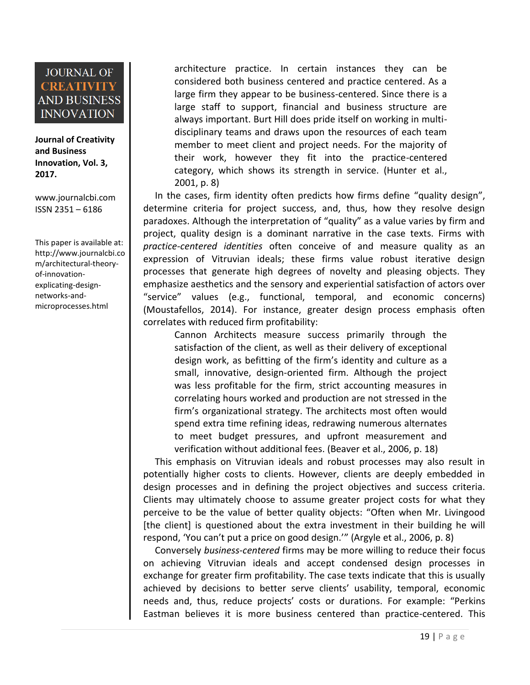**Journal of Creativity and Business Innovation, Vol. 3, 2017.**

[www.journalcbi.com](http://www.journalcbi.com/) ISSN 2351 – 6186

This paper is available at: [http://www.journalcbi.co](http://www.journalcbi.com/ideation-using-analogies.html) [m/architectural-theory](http://www.journalcbi.com/ideation-using-analogies.html)[of-innovation](http://www.journalcbi.com/ideation-using-analogies.html)[explicating-design](http://www.journalcbi.com/ideation-using-analogies.html)[networks-and](http://www.journalcbi.com/ideation-using-analogies.html)[microprocesses.html](http://www.journalcbi.com/ideation-using-analogies.html)

architecture practice. In certain instances they can be considered both business centered and practice centered. As a large firm they appear to be business-centered. Since there is a large staff to support, financial and business structure are always important. Burt Hill does pride itself on working in multidisciplinary teams and draws upon the resources of each team member to meet client and project needs. For the majority of their work, however they fit into the practice-centered category, which shows its strength in service. (Hunter et al., 2001, p. 8)

In the cases, firm identity often predicts how firms define "quality design", determine criteria for project success, and, thus, how they resolve design paradoxes. Although the interpretation of "quality" as a value varies by firm and project, quality design is a dominant narrative in the case texts. Firms with *practice-centered identities* often conceive of and measure quality as an expression of Vitruvian ideals; these firms value robust iterative design processes that generate high degrees of novelty and pleasing objects. They emphasize aesthetics and the sensory and experiential satisfaction of actors over "service" values (e.g., functional, temporal, and economic concerns) (Moustafellos, 2014). For instance, greater design process emphasis often correlates with reduced firm profitability:

Cannon Architects measure success primarily through the satisfaction of the client, as well as their delivery of exceptional design work, as befitting of the firm's identity and culture as a small, innovative, design-oriented firm. Although the project was less profitable for the firm, strict accounting measures in correlating hours worked and production are not stressed in the firm's organizational strategy. The architects most often would spend extra time refining ideas, redrawing numerous alternates to meet budget pressures, and upfront measurement and verification without additional fees. (Beaver et al., 2006, p. 18)

This emphasis on Vitruvian ideals and robust processes may also result in potentially higher costs to clients. However, clients are deeply embedded in design processes and in defining the project objectives and success criteria. Clients may ultimately choose to assume greater project costs for what they perceive to be the value of better quality objects: "Often when Mr. Livingood [the client] is questioned about the extra investment in their building he will respond, 'You can't put a price on good design.'" (Argyle et al., 2006, p. 8)

Conversely *business-centered* firms may be more willing to reduce their focus on achieving Vitruvian ideals and accept condensed design processes in exchange for greater firm profitability. The case texts indicate that this is usually achieved by decisions to better serve clients' usability, temporal, economic needs and, thus, reduce projects' costs or durations. For example: "Perkins Eastman believes it is more business centered than practice-centered. This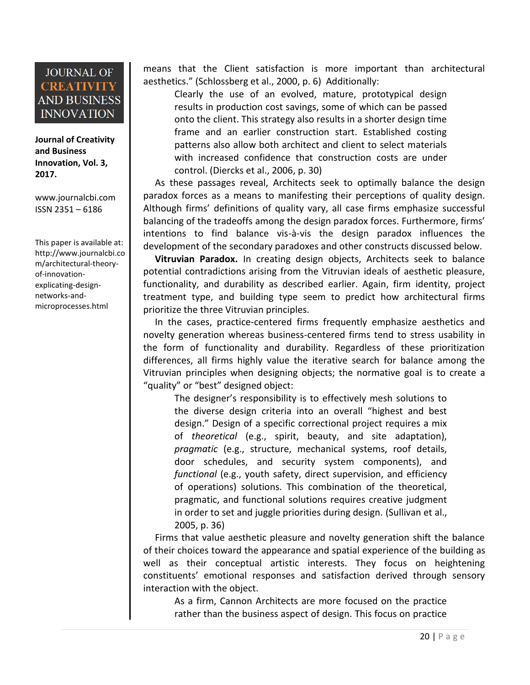**Journal of Creativity and Business Innovation, Vol. 3, 2017.**

[www.journalcbi.com](http://www.journalcbi.com/) ISSN 2351 – 6186

This paper is available at: [http://www.journalcbi.co](http://www.journalcbi.com/ideation-using-analogies.html) [m/architectural-theory](http://www.journalcbi.com/ideation-using-analogies.html)[of-innovation](http://www.journalcbi.com/ideation-using-analogies.html)[explicating-design](http://www.journalcbi.com/ideation-using-analogies.html)[networks-and](http://www.journalcbi.com/ideation-using-analogies.html)[microprocesses.html](http://www.journalcbi.com/ideation-using-analogies.html)

means that the Client satisfaction is more important than architectural aesthetics." (Schlossberg et al., 2000, p. 6) Additionally:

Clearly the use of an evolved, mature, prototypical design results in production cost savings, some of which can be passed onto the client. This strategy also results in a shorter design time frame and an earlier construction start. Established costing patterns also allow both architect and client to select materials with increased confidence that construction costs are under control. (Diercks et al., 2006, p. 30)

As these passages reveal, Architects seek to optimally balance the design paradox forces as a means to manifesting their perceptions of quality design. Although firms' definitions of quality vary, all case firms emphasize successful balancing of the tradeoffs among the design paradox forces. Furthermore, firms' intentions to find balance vis-à-vis the design paradox influences the development of the secondary paradoxes and other constructs discussed below.

**Vitruvian Paradox.** In creating design objects, Architects seek to balance potential contradictions arising from the Vitruvian ideals of aesthetic pleasure, functionality, and durability as described earlier. Again, firm identity, project treatment type, and building type seem to predict how architectural firms prioritize the three Vitruvian principles.

In the cases, practice-centered firms frequently emphasize aesthetics and novelty generation whereas business-centered firms tend to stress usability in the form of functionality and durability. Regardless of these prioritization differences, all firms highly value the iterative search for balance among the Vitruvian principles when designing objects; the normative goal is to create a "quality" or "best" designed object:

The designer's responsibility is to effectively mesh solutions to the diverse design criteria into an overall "highest and best design." Design of a specific correctional project requires a mix of *theoretical* (e.g., spirit, beauty, and site adaptation), *pragmatic* (e.g., structure, mechanical systems, roof details, door schedules, and security system components), and *functional* (e.g., youth safety, direct supervision, and efficiency of operations) solutions. This combination of the theoretical, pragmatic, and functional solutions requires creative judgment in order to set and juggle priorities during design. (Sullivan et al., 2005, p. 36)

Firms that value aesthetic pleasure and novelty generation shift the balance of their choices toward the appearance and spatial experience of the building as well as their conceptual artistic interests. They focus on heightening constituents' emotional responses and satisfaction derived through sensory interaction with the object.

As a firm, Cannon Architects are more focused on the practice rather than the business aspect of design. This focus on practice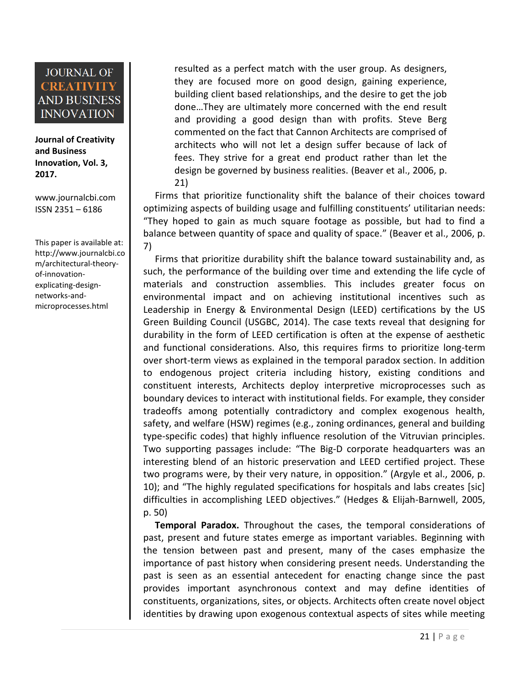**Journal of Creativity and Business Innovation, Vol. 3, 2017.**

[www.journalcbi.com](http://www.journalcbi.com/) ISSN 2351 – 6186

This paper is available at: [http://www.journalcbi.co](http://www.journalcbi.com/ideation-using-analogies.html) [m/architectural-theory](http://www.journalcbi.com/ideation-using-analogies.html)[of-innovation](http://www.journalcbi.com/ideation-using-analogies.html)[explicating-design](http://www.journalcbi.com/ideation-using-analogies.html)[networks-and](http://www.journalcbi.com/ideation-using-analogies.html)[microprocesses.html](http://www.journalcbi.com/ideation-using-analogies.html)

resulted as a perfect match with the user group. As designers, they are focused more on good design, gaining experience, building client based relationships, and the desire to get the job done…They are ultimately more concerned with the end result and providing a good design than with profits. Steve Berg commented on the fact that Cannon Architects are comprised of architects who will not let a design suffer because of lack of fees. They strive for a great end product rather than let the design be governed by business realities. (Beaver et al., 2006, p. 21)

Firms that prioritize functionality shift the balance of their choices toward optimizing aspects of building usage and fulfilling constituents' utilitarian needs: "They hoped to gain as much square footage as possible, but had to find a balance between quantity of space and quality of space." (Beaver et al., 2006, p. 7)

Firms that prioritize durability shift the balance toward sustainability and, as such, the performance of the building over time and extending the life cycle of materials and construction assemblies. This includes greater focus on environmental impact and on achieving institutional incentives such as Leadership in Energy & Environmental Design (LEED) certifications by the US Green Building Council (USGBC, 2014). The case texts reveal that designing for durability in the form of LEED certification is often at the expense of aesthetic and functional considerations. Also, this requires firms to prioritize long-term over short-term views as explained in the temporal paradox section. In addition to endogenous project criteria including history, existing conditions and constituent interests, Architects deploy interpretive microprocesses such as boundary devices to interact with institutional fields. For example, they consider tradeoffs among potentially contradictory and complex exogenous health, safety, and welfare (HSW) regimes (e.g., zoning ordinances, general and building type-specific codes) that highly influence resolution of the Vitruvian principles. Two supporting passages include: "The Big-D corporate headquarters was an interesting blend of an historic preservation and LEED certified project. These two programs were, by their very nature, in opposition." (Argyle et al., 2006, p. 10); and "The highly regulated specifications for hospitals and labs creates [sic] difficulties in accomplishing LEED objectives." (Hedges & Elijah-Barnwell, 2005, p. 50)

**Temporal Paradox.** Throughout the cases, the temporal considerations of past, present and future states emerge as important variables. Beginning with the tension between past and present, many of the cases emphasize the importance of past history when considering present needs. Understanding the past is seen as an essential antecedent for enacting change since the past provides important asynchronous context and may define identities of constituents, organizations, sites, or objects. Architects often create novel object identities by drawing upon exogenous contextual aspects of sites while meeting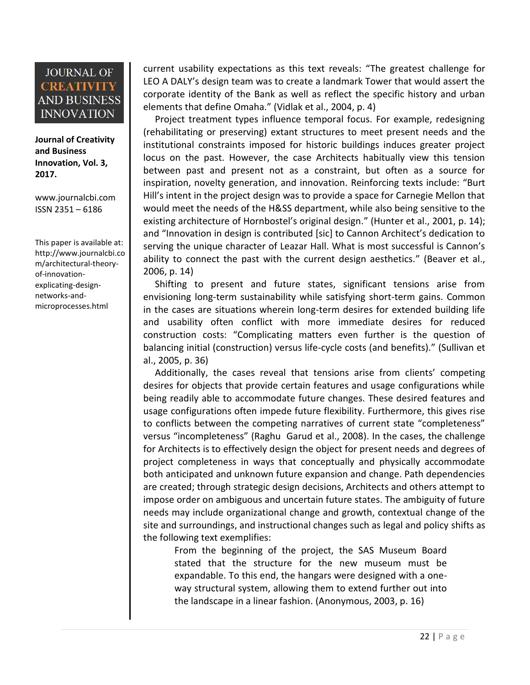**Journal of Creativity and Business Innovation, Vol. 3, 2017.**

[www.journalcbi.com](http://www.journalcbi.com/) ISSN 2351 – 6186

This paper is available at: [http://www.journalcbi.co](http://www.journalcbi.com/ideation-using-analogies.html) [m/architectural-theory](http://www.journalcbi.com/ideation-using-analogies.html)[of-innovation](http://www.journalcbi.com/ideation-using-analogies.html)[explicating-design](http://www.journalcbi.com/ideation-using-analogies.html)[networks-and](http://www.journalcbi.com/ideation-using-analogies.html)[microprocesses.html](http://www.journalcbi.com/ideation-using-analogies.html)

current usability expectations as this text reveals: "The greatest challenge for LEO A DALY's design team was to create a landmark Tower that would assert the corporate identity of the Bank as well as reflect the specific history and urban elements that define Omaha." (Vidlak et al., 2004, p. 4)

Project treatment types influence temporal focus. For example, redesigning (rehabilitating or preserving) extant structures to meet present needs and the institutional constraints imposed for historic buildings induces greater project locus on the past. However, the case Architects habitually view this tension between past and present not as a constraint, but often as a source for inspiration, novelty generation, and innovation. Reinforcing texts include: "Burt Hill's intent in the project design was to provide a space for Carnegie Mellon that would meet the needs of the H&SS department, while also being sensitive to the existing architecture of Hornbostel's original design." (Hunter et al., 2001, p. 14); and "Innovation in design is contributed [sic] to Cannon Architect's dedication to serving the unique character of Leazar Hall. What is most successful is Cannon's ability to connect the past with the current design aesthetics." (Beaver et al., 2006, p. 14)

Shifting to present and future states, significant tensions arise from envisioning long-term sustainability while satisfying short-term gains. Common in the cases are situations wherein long-term desires for extended building life and usability often conflict with more immediate desires for reduced construction costs: "Complicating matters even further is the question of balancing initial (construction) versus life-cycle costs (and benefits)." (Sullivan et al., 2005, p. 36)

Additionally, the cases reveal that tensions arise from clients' competing desires for objects that provide certain features and usage configurations while being readily able to accommodate future changes. These desired features and usage configurations often impede future flexibility. Furthermore, this gives rise to conflicts between the competing narratives of current state "completeness" versus "incompleteness" (Raghu Garud et al., 2008). In the cases, the challenge for Architects is to effectively design the object for present needs and degrees of project completeness in ways that conceptually and physically accommodate both anticipated and unknown future expansion and change. Path dependencies are created; through strategic design decisions, Architects and others attempt to impose order on ambiguous and uncertain future states. The ambiguity of future needs may include organizational change and growth, contextual change of the site and surroundings, and instructional changes such as legal and policy shifts as the following text exemplifies:

From the beginning of the project, the SAS Museum Board stated that the structure for the new museum must be expandable. To this end, the hangars were designed with a oneway structural system, allowing them to extend further out into the landscape in a linear fashion. (Anonymous, 2003, p. 16)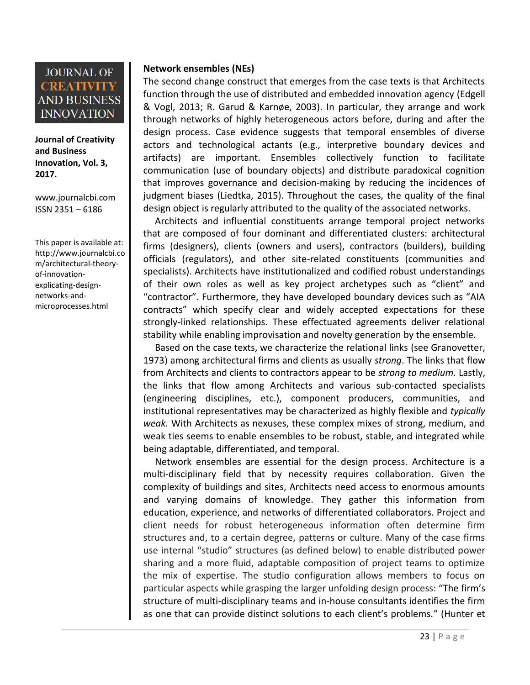**Journal of Creativity and Business Innovation, Vol. 3, 2017.**

[www.journalcbi.com](http://www.journalcbi.com/) ISSN 2351 – 6186

This paper is available at: [http://www.journalcbi.co](http://www.journalcbi.com/ideation-using-analogies.html) [m/architectural-theory](http://www.journalcbi.com/ideation-using-analogies.html)[of-innovation](http://www.journalcbi.com/ideation-using-analogies.html)[explicating-design](http://www.journalcbi.com/ideation-using-analogies.html)[networks-and](http://www.journalcbi.com/ideation-using-analogies.html)[microprocesses.html](http://www.journalcbi.com/ideation-using-analogies.html)

#### **Network ensembles (NEs)**

The second change construct that emerges from the case texts is that Architects function through the use of distributed and embedded innovation agency (Edgell & Vogl, 2013; R. Garud & Karnøe, 2003). In particular, they arrange and work through networks of highly heterogeneous actors before, during and after the design process. Case evidence suggests that temporal ensembles of diverse actors and technological actants (e.g., interpretive boundary devices and artifacts) are important. Ensembles collectively function to facilitate communication (use of boundary objects) and distribute paradoxical cognition that improves governance and decision-making by reducing the incidences of judgment biases (Liedtka, 2015). Throughout the cases, the quality of the final design object is regularly attributed to the quality of the associated networks.

Architects and influential constituents arrange temporal project networks that are composed of four dominant and differentiated clusters: architectural firms (designers), clients (owners and users), contractors (builders), building officials (regulators), and other site-related constituents (communities and specialists). Architects have institutionalized and codified robust understandings of their own roles as well as key project archetypes such as "client" and "contractor". Furthermore, they have developed boundary devices such as "AIA contracts" which specify clear and widely accepted expectations for these strongly-linked relationships. These effectuated agreements deliver relational stability while enabling improvisation and novelty generation by the ensemble.

Based on the case texts, we characterize the relational links (see Granovetter, 1973) among architectural firms and clients as usually *strong*. The links that flow from Architects and clients to contractors appear to be *strong to medium.* Lastly, the links that flow among Architects and various sub-contacted specialists (engineering disciplines, etc.), component producers, communities, and institutional representatives may be characterized as highly flexible and *typically weak.* With Architects as nexuses, these complex mixes of strong, medium, and weak ties seems to enable ensembles to be robust, stable, and integrated while being adaptable, differentiated, and temporal.

Network ensembles are essential for the design process. Architecture is a multi-disciplinary field that by necessity requires collaboration. Given the complexity of buildings and sites, Architects need access to enormous amounts and varying domains of knowledge. They gather this information from education, experience, and networks of differentiated collaborators. Project and client needs for robust heterogeneous information often determine firm structures and, to a certain degree, patterns or culture. Many of the case firms use internal "studio" structures (as defined below) to enable distributed power sharing and a more fluid, adaptable composition of project teams to optimize the mix of expertise. The studio configuration allows members to focus on particular aspects while grasping the larger unfolding design process: "The firm's structure of multi-disciplinary teams and in-house consultants identifies the firm as one that can provide distinct solutions to each client's problems." (Hunter et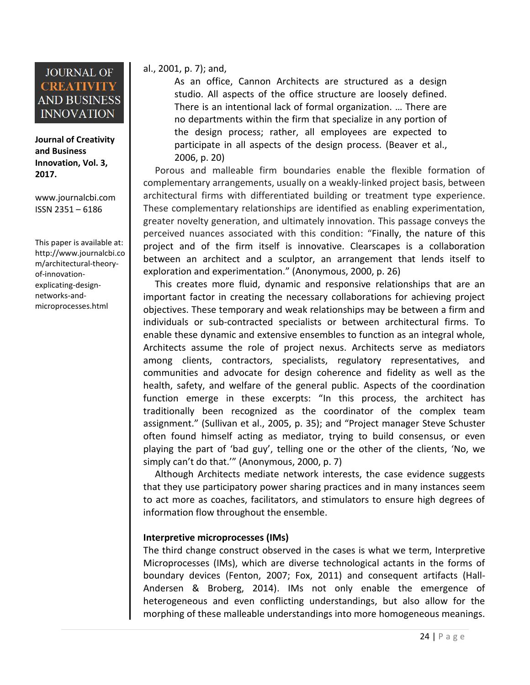**Journal of Creativity and Business Innovation, Vol. 3, 2017.**

[www.journalcbi.com](http://www.journalcbi.com/) ISSN 2351 – 6186

This paper is available at: [http://www.journalcbi.co](http://www.journalcbi.com/ideation-using-analogies.html) [m/architectural-theory](http://www.journalcbi.com/ideation-using-analogies.html)[of-innovation](http://www.journalcbi.com/ideation-using-analogies.html)[explicating-design](http://www.journalcbi.com/ideation-using-analogies.html)[networks-and](http://www.journalcbi.com/ideation-using-analogies.html)[microprocesses.html](http://www.journalcbi.com/ideation-using-analogies.html)

#### al., 2001, p. 7); and,

As an office, Cannon Architects are structured as a design studio. All aspects of the office structure are loosely defined. There is an intentional lack of formal organization. … There are no departments within the firm that specialize in any portion of the design process; rather, all employees are expected to participate in all aspects of the design process. (Beaver et al., 2006, p. 20)

Porous and malleable firm boundaries enable the flexible formation of complementary arrangements, usually on a weakly-linked project basis, between architectural firms with differentiated building or treatment type experience. These complementary relationships are identified as enabling experimentation, greater novelty generation, and ultimately innovation. This passage conveys the perceived nuances associated with this condition: "Finally, the nature of this project and of the firm itself is innovative. Clearscapes is a collaboration between an architect and a sculptor, an arrangement that lends itself to exploration and experimentation." (Anonymous, 2000, p. 26)

This creates more fluid, dynamic and responsive relationships that are an important factor in creating the necessary collaborations for achieving project objectives. These temporary and weak relationships may be between a firm and individuals or sub-contracted specialists or between architectural firms. To enable these dynamic and extensive ensembles to function as an integral whole, Architects assume the role of project nexus. Architects serve as mediators among clients, contractors, specialists, regulatory representatives, and communities and advocate for design coherence and fidelity as well as the health, safety, and welfare of the general public. Aspects of the coordination function emerge in these excerpts: "In this process, the architect has traditionally been recognized as the coordinator of the complex team assignment." (Sullivan et al., 2005, p. 35); and "Project manager Steve Schuster often found himself acting as mediator, trying to build consensus, or even playing the part of 'bad guy', telling one or the other of the clients, 'No, we simply can't do that.'" (Anonymous, 2000, p. 7)

Although Architects mediate network interests, the case evidence suggests that they use participatory power sharing practices and in many instances seem to act more as coaches, facilitators, and stimulators to ensure high degrees of information flow throughout the ensemble.

#### **Interpretive microprocesses (IMs)**

The third change construct observed in the cases is what we term, Interpretive Microprocesses (IMs), which are diverse technological actants in the forms of boundary devices (Fenton, 2007; Fox, 2011) and consequent artifacts (Hall-Andersen & Broberg, 2014). IMs not only enable the emergence of heterogeneous and even conflicting understandings, but also allow for the morphing of these malleable understandings into more homogeneous meanings.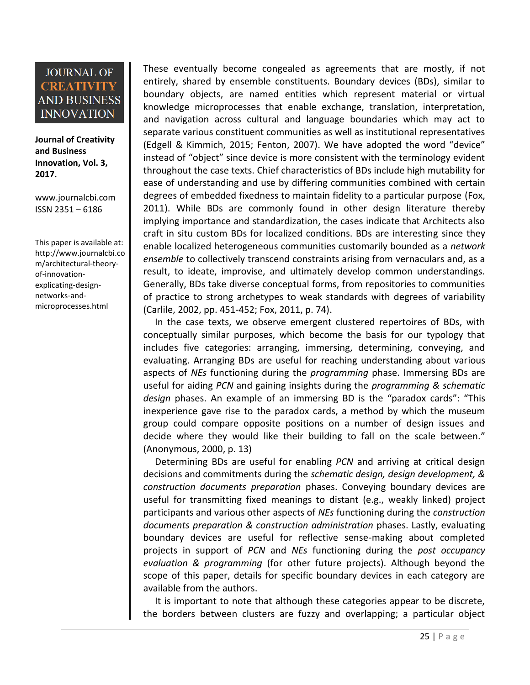**Journal of Creativity and Business Innovation, Vol. 3, 2017.**

[www.journalcbi.com](http://www.journalcbi.com/) ISSN 2351 – 6186

This paper is available at: [http://www.journalcbi.co](http://www.journalcbi.com/ideation-using-analogies.html) [m/architectural-theory](http://www.journalcbi.com/ideation-using-analogies.html)[of-innovation](http://www.journalcbi.com/ideation-using-analogies.html)[explicating-design](http://www.journalcbi.com/ideation-using-analogies.html)[networks-and](http://www.journalcbi.com/ideation-using-analogies.html)[microprocesses.html](http://www.journalcbi.com/ideation-using-analogies.html)

These eventually become congealed as agreements that are mostly, if not entirely, shared by ensemble constituents. Boundary devices (BDs), similar to boundary objects, are named entities which represent material or virtual knowledge microprocesses that enable exchange, translation, interpretation, and navigation across cultural and language boundaries which may act to separate various constituent communities as well as institutional representatives (Edgell & Kimmich, 2015; Fenton, 2007). We have adopted the word "device" instead of "object" since device is more consistent with the terminology evident throughout the case texts. Chief characteristics of BDs include high mutability for ease of understanding and use by differing communities combined with certain degrees of embedded fixedness to maintain fidelity to a particular purpose (Fox, 2011). While BDs are commonly found in other design literature thereby implying importance and standardization, the cases indicate that Architects also craft in situ custom BDs for localized conditions. BDs are interesting since they enable localized heterogeneous communities customarily bounded as a *network ensemble* to collectively transcend constraints arising from vernaculars and, as a result, to ideate, improvise, and ultimately develop common understandings. Generally, BDs take diverse conceptual forms, from repositories to communities of practice to strong archetypes to weak standards with degrees of variability (Carlile, 2002, pp. 451-452; Fox, 2011, p. 74).

In the case texts, we observe emergent clustered repertoires of BDs, with conceptually similar purposes, which become the basis for our typology that includes five categories: arranging, immersing, determining, conveying, and evaluating. Arranging BDs are useful for reaching understanding about various aspects of *NEs* functioning during the *programming* phase. Immersing BDs are useful for aiding *PCN* and gaining insights during the *programming & schematic design* phases. An example of an immersing BD is the "paradox cards": "This inexperience gave rise to the paradox cards, a method by which the museum group could compare opposite positions on a number of design issues and decide where they would like their building to fall on the scale between." (Anonymous, 2000, p. 13)

Determining BDs are useful for enabling *PCN* and arriving at critical design decisions and commitments during the *schematic design, design development, & construction documents preparation* phases. Conveying boundary devices are useful for transmitting fixed meanings to distant (e.g., weakly linked) project participants and various other aspects of *NEs* functioning during the *construction documents preparation & construction administration* phases. Lastly, evaluating boundary devices are useful for reflective sense-making about completed projects in support of *PCN* and *NEs* functioning during the *post occupancy evaluation & programming* (for other future projects). Although beyond the scope of this paper, details for specific boundary devices in each category are available from the authors.

It is important to note that although these categories appear to be discrete, the borders between clusters are fuzzy and overlapping; a particular object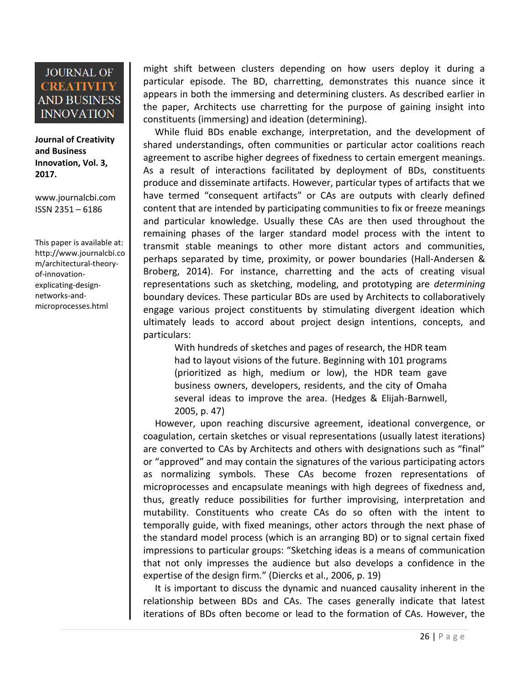**Journal of Creativity and Business Innovation, Vol. 3, 2017.**

[www.journalcbi.com](http://www.journalcbi.com/) ISSN 2351 – 6186

This paper is available at: [http://www.journalcbi.co](http://www.journalcbi.com/ideation-using-analogies.html) [m/architectural-theory](http://www.journalcbi.com/ideation-using-analogies.html)[of-innovation](http://www.journalcbi.com/ideation-using-analogies.html)[explicating-design](http://www.journalcbi.com/ideation-using-analogies.html)[networks-and](http://www.journalcbi.com/ideation-using-analogies.html)[microprocesses.html](http://www.journalcbi.com/ideation-using-analogies.html)

might shift between clusters depending on how users deploy it during a particular episode. The BD, charretting, demonstrates this nuance since it appears in both the immersing and determining clusters. As described earlier in the paper, Architects use charretting for the purpose of gaining insight into constituents (immersing) and ideation (determining).

While fluid BDs enable exchange, interpretation, and the development of shared understandings, often communities or particular actor coalitions reach agreement to ascribe higher degrees of fixedness to certain emergent meanings. As a result of interactions facilitated by deployment of BDs, constituents produce and disseminate artifacts. However, particular types of artifacts that we have termed "consequent artifacts" or CAs are outputs with clearly defined content that are intended by participating communities to fix or freeze meanings and particular knowledge. Usually these CAs are then used throughout the remaining phases of the larger standard model process with the intent to transmit stable meanings to other more distant actors and communities, perhaps separated by time, proximity, or power boundaries (Hall-Andersen & Broberg, 2014). For instance, charretting and the acts of creating visual representations such as sketching, modeling, and prototyping are *determining* boundary devices. These particular BDs are used by Architects to collaboratively engage various project constituents by stimulating divergent ideation which ultimately leads to accord about project design intentions, concepts, and particulars:

With hundreds of sketches and pages of research, the HDR team had to layout visions of the future. Beginning with 101 programs (prioritized as high, medium or low), the HDR team gave business owners, developers, residents, and the city of Omaha several ideas to improve the area. (Hedges & Elijah-Barnwell, 2005, p. 47)

However, upon reaching discursive agreement, ideational convergence, or coagulation, certain sketches or visual representations (usually latest iterations) are converted to CAs by Architects and others with designations such as "final" or "approved" and may contain the signatures of the various participating actors as normalizing symbols. These CAs become frozen representations of microprocesses and encapsulate meanings with high degrees of fixedness and, thus, greatly reduce possibilities for further improvising, interpretation and mutability. Constituents who create CAs do so often with the intent to temporally guide, with fixed meanings, other actors through the next phase of the standard model process (which is an arranging BD) or to signal certain fixed impressions to particular groups: "Sketching ideas is a means of communication that not only impresses the audience but also develops a confidence in the expertise of the design firm." (Diercks et al., 2006, p. 19)

It is important to discuss the dynamic and nuanced causality inherent in the relationship between BDs and CAs. The cases generally indicate that latest iterations of BDs often become or lead to the formation of CAs. However, the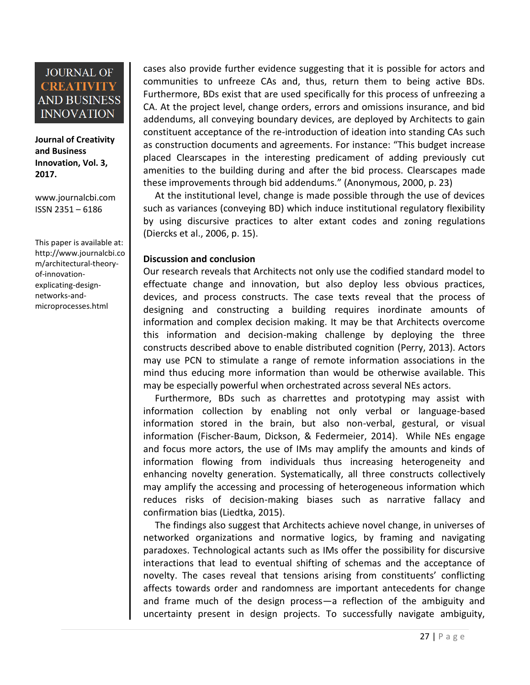**Journal of Creativity and Business Innovation, Vol. 3, 2017.**

[www.journalcbi.com](http://www.journalcbi.com/) ISSN 2351 – 6186

This paper is available at: [http://www.journalcbi.co](http://www.journalcbi.com/ideation-using-analogies.html) [m/architectural-theory](http://www.journalcbi.com/ideation-using-analogies.html)[of-innovation](http://www.journalcbi.com/ideation-using-analogies.html)[explicating-design](http://www.journalcbi.com/ideation-using-analogies.html)[networks-and](http://www.journalcbi.com/ideation-using-analogies.html)[microprocesses.html](http://www.journalcbi.com/ideation-using-analogies.html)

cases also provide further evidence suggesting that it is possible for actors and communities to unfreeze CAs and, thus, return them to being active BDs. Furthermore, BDs exist that are used specifically for this process of unfreezing a CA. At the project level, change orders, errors and omissions insurance, and bid addendums, all conveying boundary devices, are deployed by Architects to gain constituent acceptance of the re-introduction of ideation into standing CAs such as construction documents and agreements. For instance: "This budget increase placed Clearscapes in the interesting predicament of adding previously cut amenities to the building during and after the bid process. Clearscapes made these improvements through bid addendums." (Anonymous, 2000, p. 23)

At the institutional level, change is made possible through the use of devices such as variances (conveying BD) which induce institutional regulatory flexibility by using discursive practices to alter extant codes and zoning regulations (Diercks et al., 2006, p. 15).

#### **Discussion and conclusion**

Our research reveals that Architects not only use the codified standard model to effectuate change and innovation, but also deploy less obvious practices, devices, and process constructs. The case texts reveal that the process of designing and constructing a building requires inordinate amounts of information and complex decision making. It may be that Architects overcome this information and decision-making challenge by deploying the three constructs described above to enable distributed cognition (Perry, 2013). Actors may use PCN to stimulate a range of remote information associations in the mind thus educing more information than would be otherwise available. This may be especially powerful when orchestrated across several NEs actors.

Furthermore, BDs such as charrettes and prototyping may assist with information collection by enabling not only verbal or language-based information stored in the brain, but also non-verbal, gestural, or visual information (Fischer-Baum, Dickson, & Federmeier, 2014). While NEs engage and focus more actors, the use of IMs may amplify the amounts and kinds of information flowing from individuals thus increasing heterogeneity and enhancing novelty generation. Systematically, all three constructs collectively may amplify the accessing and processing of heterogeneous information which reduces risks of decision-making biases such as narrative fallacy and confirmation bias (Liedtka, 2015).

The findings also suggest that Architects achieve novel change, in universes of networked organizations and normative logics, by framing and navigating paradoxes. Technological actants such as IMs offer the possibility for discursive interactions that lead to eventual shifting of schemas and the acceptance of novelty. The cases reveal that tensions arising from constituents' conflicting affects towards order and randomness are important antecedents for change and frame much of the design process—a reflection of the ambiguity and uncertainty present in design projects. To successfully navigate ambiguity,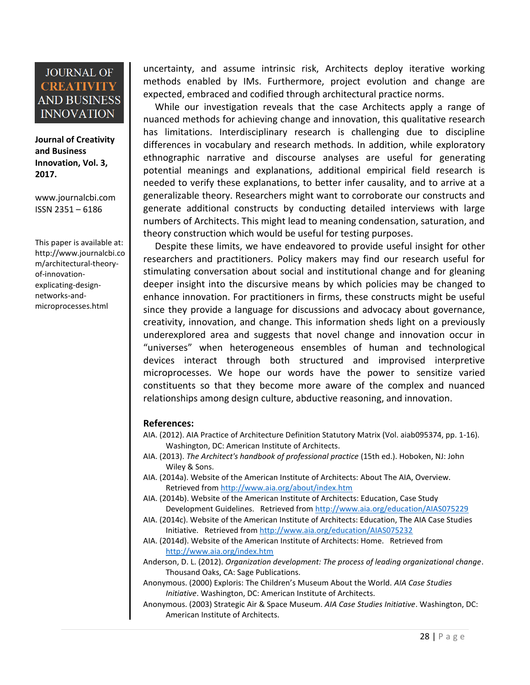**Journal of Creativity and Business Innovation, Vol. 3, 2017.**

[www.journalcbi.com](http://www.journalcbi.com/) ISSN 2351 – 6186

This paper is available at: [http://www.journalcbi.co](http://www.journalcbi.com/ideation-using-analogies.html) [m/architectural-theory](http://www.journalcbi.com/ideation-using-analogies.html)[of-innovation](http://www.journalcbi.com/ideation-using-analogies.html)[explicating-design](http://www.journalcbi.com/ideation-using-analogies.html)[networks-and](http://www.journalcbi.com/ideation-using-analogies.html)[microprocesses.html](http://www.journalcbi.com/ideation-using-analogies.html)

uncertainty, and assume intrinsic risk, Architects deploy iterative working methods enabled by IMs. Furthermore, project evolution and change are expected, embraced and codified through architectural practice norms.

While our investigation reveals that the case Architects apply a range of nuanced methods for achieving change and innovation, this qualitative research has limitations. Interdisciplinary research is challenging due to discipline differences in vocabulary and research methods. In addition, while exploratory ethnographic narrative and discourse analyses are useful for generating potential meanings and explanations, additional empirical field research is needed to verify these explanations, to better infer causality, and to arrive at a generalizable theory. Researchers might want to corroborate our constructs and generate additional constructs by conducting detailed interviews with large numbers of Architects. This might lead to meaning condensation, saturation, and theory construction which would be useful for testing purposes.

Despite these limits, we have endeavored to provide useful insight for other researchers and practitioners. Policy makers may find our research useful for stimulating conversation about social and institutional change and for gleaning deeper insight into the discursive means by which policies may be changed to enhance innovation. For practitioners in firms, these constructs might be useful since they provide a language for discussions and advocacy about governance, creativity, innovation, and change. This information sheds light on a previously underexplored area and suggests that novel change and innovation occur in "universes" when heterogeneous ensembles of human and technological devices interact through both structured and improvised interpretive microprocesses. We hope our words have the power to sensitize varied constituents so that they become more aware of the complex and nuanced relationships among design culture, abductive reasoning, and innovation.

#### **References:**

- AIA. (2012). AIA Practice of Architecture Definition Statutory Matrix (Vol. aiab095374, pp. 1-16). Washington, DC: American Institute of Architects.
- AIA. (2013). *The Architect's handbook of professional practice* (15th ed.). Hoboken, NJ: John Wiley & Sons.
- AIA. (2014a). Website of the American Institute of Architects: About The AIA, Overview. Retrieved from<http://www.aia.org/about/index.htm>
- AIA. (2014b). Website of the American Institute of Architects: Education, Case Study Development Guidelines. Retrieved from<http://www.aia.org/education/AIAS075229>
- AIA. (2014c). Website of the American Institute of Architects: Education, The AIA Case Studies Initiative. Retrieved from<http://www.aia.org/education/AIAS075232>
- AIA. (2014d). Website of the American Institute of Architects: Home. Retrieved from <http://www.aia.org/index.htm>
- Anderson, D. L. (2012). *Organization development: The process of leading organizational change*. Thousand Oaks, CA: Sage Publications.
- Anonymous. (2000) Exploris: The Children's Museum About the World. *AIA Case Studies Initiative*. Washington, DC: American Institute of Architects.
- Anonymous. (2003) Strategic Air & Space Museum. *AIA Case Studies Initiative*. Washington, DC: American Institute of Architects.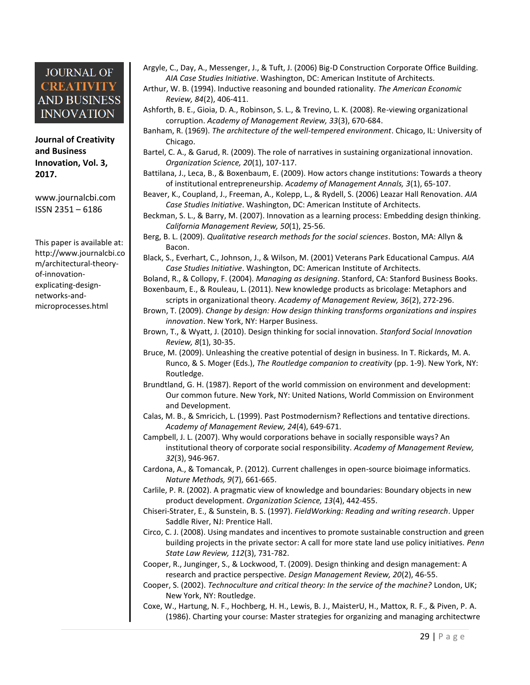**Journal of Creativity and Business Innovation, Vol. 3, 2017.**

[www.journalcbi.com](http://www.journalcbi.com/) ISSN 2351 – 6186

This paper is available at: [http://www.journalcbi.co](http://www.journalcbi.com/ideation-using-analogies.html) [m/architectural-theory](http://www.journalcbi.com/ideation-using-analogies.html)[of-innovation](http://www.journalcbi.com/ideation-using-analogies.html)[explicating-design](http://www.journalcbi.com/ideation-using-analogies.html)[networks-and](http://www.journalcbi.com/ideation-using-analogies.html)[microprocesses.html](http://www.journalcbi.com/ideation-using-analogies.html)

Argyle, C., Day, A., Messenger, J., & Tuft, J. (2006) Big-D Construction Corporate Office Building. *AIA Case Studies Initiative*. Washington, DC: American Institute of Architects.

Arthur, W. B. (1994). Inductive reasoning and bounded rationality. *The American Economic Review, 84*(2), 406-411.

- Ashforth, B. E., Gioia, D. A., Robinson, S. L., & Trevino, L. K. (2008). Re-viewing organizational corruption. *Academy of Management Review, 33*(3), 670-684.
- Banham, R. (1969). *The architecture of the well-tempered environment*. Chicago, IL: University of Chicago.
- Bartel, C. A., & Garud, R. (2009). The role of narratives in sustaining organizational innovation. *Organization Science, 20*(1), 107-117.
- Battilana, J., Leca, B., & Boxenbaum, E. (2009). How actors change institutions: Towards a theory of institutional entrepreneurship. *Academy of Management Annals, 3*(1), 65-107.
- Beaver, K., Coupland, J., Freeman, A., Kolepp, L., & Rydell, S. (2006) Leazar Hall Renovation. *AIA Case Studies Initiative*. Washington, DC: American Institute of Architects.
- Beckman, S. L., & Barry, M. (2007). Innovation as a learning process: Embedding design thinking. *California Management Review, 50*(1), 25-56.
- Berg, B. L. (2009). *Qualitative research methods for the social sciences*. Boston, MA: Allyn & Bacon.
- Black, S., Everhart, C., Johnson, J., & Wilson, M. (2001) Veterans Park Educational Campus. *AIA Case Studies Initiative*. Washington, DC: American Institute of Architects.

Boland, R., & Collopy, F. (2004). *Managing as designing*. Stanford, CA: Stanford Business Books. Boxenbaum, E., & Rouleau, L. (2011). New knowledge products as bricolage: Metaphors and

scripts in organizational theory. *Academy of Management Review, 36*(2), 272-296.

- Brown, T. (2009). *Change by design: How design thinking transforms organizations and inspires innovation*. New York, NY: Harper Business.
- Brown, T., & Wyatt, J. (2010). Design thinking for social innovation. *Stanford Social Innovation Review, 8*(1), 30-35.
- Bruce, M. (2009). Unleashing the creative potential of design in business. In T. Rickards, M. A. Runco, & S. Moger (Eds.), *The Routledge companion to creativity* (pp. 1-9). New York, NY: Routledge.
- Brundtland, G. H. (1987). Report of the world commission on environment and development: Our common future. New York, NY: United Nations, World Commission on Environment and Development.
- Calas, M. B., & Smricich, L. (1999). Past Postmodernism? Reflections and tentative directions. *Academy of Management Review, 24*(4), 649-671.
- Campbell, J. L. (2007). Why would corporations behave in socially responsible ways? An institutional theory of corporate social responsibility. *Academy of Management Review, 32*(3), 946-967.
- Cardona, A., & Tomancak, P. (2012). Current challenges in open-source bioimage informatics. *Nature Methods, 9*(7), 661-665.
- Carlile, P. R. (2002). A pragmatic view of knowledge and boundaries: Boundary objects in new product development. *Organization Science, 13*(4), 442-455.
- Chiseri-Strater, E., & Sunstein, B. S. (1997). *FieldWorking: Reading and writing research*. Upper Saddle River, NJ: Prentice Hall.
- Circo, C. J. (2008). Using mandates and incentives to promote sustainable construction and green building projects in the private sector: A call for more state land use policy initiatives. *Penn State Law Review, 112*(3), 731-782.
- Cooper, R., Junginger, S., & Lockwood, T. (2009). Design thinking and design management: A research and practice perspective. *Design Management Review, 20*(2), 46-55.
- Cooper, S. (2002). *Technoculture and critical theory: In the service of the machine?* London, UK; New York, NY: Routledge.
- Coxe, W., Hartung, N. F., Hochberg, H. H., Lewis, B. J., MaisterU, H., Mattox, R. F., & Piven, P. A. (1986). Charting your course: Master strategies for organizing and managing architectwre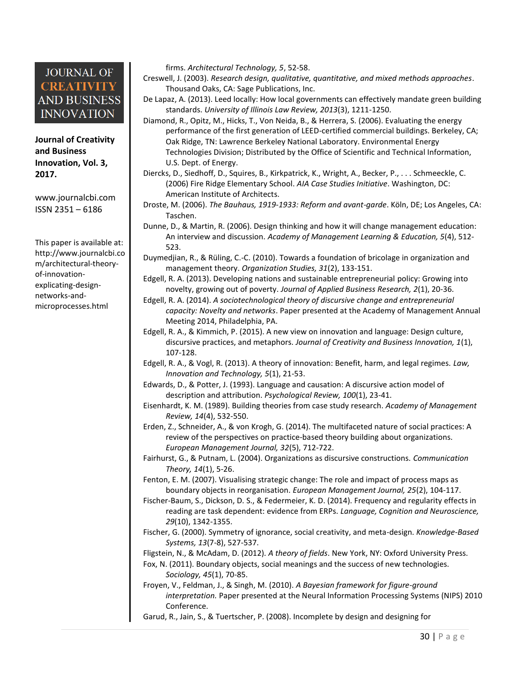**Journal of Creativity and Business Innovation, Vol. 3, 2017.**

[www.journalcbi.com](http://www.journalcbi.com/) ISSN 2351 – 6186

This paper is available at: [http://www.journalcbi.co](http://www.journalcbi.com/ideation-using-analogies.html) [m/architectural-theory](http://www.journalcbi.com/ideation-using-analogies.html)[of-innovation](http://www.journalcbi.com/ideation-using-analogies.html)[explicating-design](http://www.journalcbi.com/ideation-using-analogies.html)[networks-and](http://www.journalcbi.com/ideation-using-analogies.html)[microprocesses.html](http://www.journalcbi.com/ideation-using-analogies.html)

firms. *Architectural Technology, 5*, 52-58.

- Creswell, J. (2003). *Research design, qualitative, quantitative, and mixed methods approaches*. Thousand Oaks, CA: Sage Publications, Inc.
- De Lapaz, A. (2013). Leed locally: How local governments can effectively mandate green building standards. *University of Illinois Law Review, 2013*(3), 1211-1250.
- Diamond, R., Opitz, M., Hicks, T., Von Neida, B., & Herrera, S. (2006). Evaluating the energy performance of the first generation of LEED-certified commercial buildings. Berkeley, CA; Oak Ridge, TN: Lawrence Berkeley National Laboratory. Environmental Energy Technologies Division; Distributed by the Office of Scientific and Technical Information, U.S. Dept. of Energy.
- Diercks, D., Siedhoff, D., Squires, B., Kirkpatrick, K., Wright, A., Becker, P., . . . Schmeeckle, C. (2006) Fire Ridge Elementary School. *AIA Case Studies Initiative*. Washington, DC: American Institute of Architects.
- Droste, M. (2006). *The Bauhaus, 1919-1933: Reform and avant-garde*. Köln, DE; Los Angeles, CA: Taschen.
- Dunne, D., & Martin, R. (2006). Design thinking and how it will change management education: An interview and discussion. *Academy of Management Learning & Education, 5*(4), 512- 523.
- Duymedjian, R., & Rüling, C.-C. (2010). Towards a foundation of bricolage in organization and management theory. *Organization Studies, 31*(2), 133-151.
- Edgell, R. A. (2013). Developing nations and sustainable entrepreneurial policy: Growing into novelty, growing out of poverty. *Journal of Applied Business Research, 2*(1), 20-36.
- Edgell, R. A. (2014). *A sociotechnological theory of discursive change and entrepreneurial capacity: Novelty and networks*. Paper presented at the Academy of Management Annual Meeting 2014, Philadelphia, PA.
- Edgell, R. A., & Kimmich, P. (2015). A new view on innovation and language: Design culture, discursive practices, and metaphors. *Journal of Creativity and Business Innovation, 1*(1), 107-128.
- Edgell, R. A., & Vogl, R. (2013). A theory of innovation: Benefit, harm, and legal regimes. *Law, Innovation and Technology, 5*(1), 21-53.
- Edwards, D., & Potter, J. (1993). Language and causation: A discursive action model of description and attribution. *Psychological Review, 100*(1), 23-41.
- Eisenhardt, K. M. (1989). Building theories from case study research. *Academy of Management Review, 14*(4), 532-550.
- Erden, Z., Schneider, A., & von Krogh, G. (2014). The multifaceted nature of social practices: A review of the perspectives on practice-based theory building about organizations. *European Management Journal, 32*(5), 712-722.
- Fairhurst, G., & Putnam, L. (2004). Organizations as discursive constructions. *Communication Theory, 14*(1), 5-26.
- Fenton, E. M. (2007). Visualising strategic change: The role and impact of process maps as boundary objects in reorganisation. *European Management Journal, 25*(2), 104-117.
- Fischer-Baum, S., Dickson, D. S., & Federmeier, K. D. (2014). Frequency and regularity effects in reading are task dependent: evidence from ERPs. *Language, Cognition and Neuroscience, 29*(10), 1342-1355.
- Fischer, G. (2000). Symmetry of ignorance, social creativity, and meta-design. *Knowledge-Based Systems, 13*(7-8), 527-537.
- Fligstein, N., & McAdam, D. (2012). *A theory of fields*. New York, NY: Oxford University Press.
- Fox, N. (2011). Boundary objects, social meanings and the success of new technologies. *Sociology, 45*(1), 70-85.
- Froyen, V., Feldman, J., & Singh, M. (2010). *A Bayesian framework for figure-ground interpretation.* Paper presented at the Neural Information Processing Systems (NIPS) 2010 Conference.
- Garud, R., Jain, S., & Tuertscher, P. (2008). Incomplete by design and designing for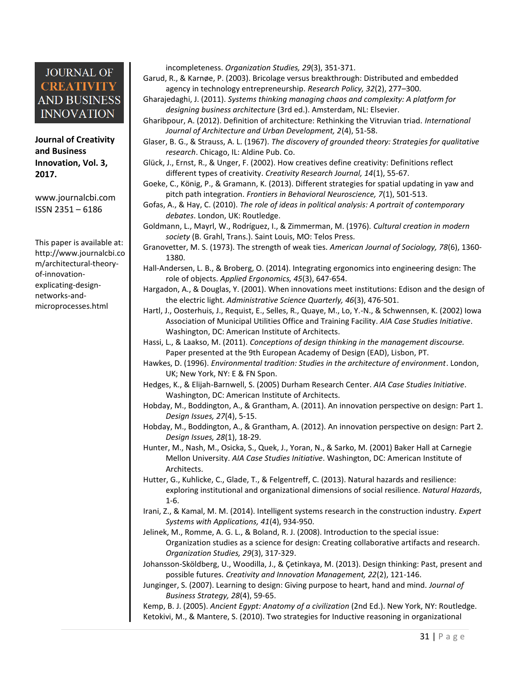**Journal of Creativity and Business Innovation, Vol. 3, 2017.**

[www.journalcbi.com](http://www.journalcbi.com/) ISSN 2351 – 6186

This paper is available at: [http://www.journalcbi.co](http://www.journalcbi.com/ideation-using-analogies.html) [m/architectural-theory](http://www.journalcbi.com/ideation-using-analogies.html)[of-innovation](http://www.journalcbi.com/ideation-using-analogies.html)[explicating-design](http://www.journalcbi.com/ideation-using-analogies.html)[networks-and](http://www.journalcbi.com/ideation-using-analogies.html)[microprocesses.html](http://www.journalcbi.com/ideation-using-analogies.html)

incompleteness. *Organization Studies, 29*(3), 351-371.

- Garud, R., & Karnøe, P. (2003). Bricolage versus breakthrough: Distributed and embedded agency in technology entrepreneurship. *Research Policy, 32*(2), 277–300.
- Gharajedaghi, J. (2011). *Systems thinking managing chaos and complexity: A platform for designing business architecture* (3rd ed.). Amsterdam, NL: Elsevier.
- Gharibpour, A. (2012). Definition of architecture: Rethinking the Vitruvian triad. *International Journal of Architecture and Urban Development, 2*(4), 51-58.
- Glaser, B. G., & Strauss, A. L. (1967). *The discovery of grounded theory: Strategies for qualitative research*. Chicago, IL: Aldine Pub. Co.
- Glück, J., Ernst, R., & Unger, F. (2002). How creatives define creativity: Definitions reflect different types of creativity. *Creativity Research Journal, 14*(1), 55-67.
- Goeke, C., König, P., & Gramann, K. (2013). Different strategies for spatial updating in yaw and pitch path integration. *Frontiers in Behavioral Neuroscience, 7*(1), 501-513.
- Gofas, A., & Hay, C. (2010). *The role of ideas in political analysis: A portrait of contemporary debates*. London, UK: Routledge.
- Goldmann, L., Mayrl, W., Rodríguez, I., & Zimmerman, M. (1976). *Cultural creation in modern society* (B. Grahl, Trans.). Saint Louis, MO: Telos Press.
- Granovetter, M. S. (1973). The strength of weak ties. *American Journal of Sociology, 78*(6), 1360- 1380.
- Hall-Andersen, L. B., & Broberg, O. (2014). Integrating ergonomics into engineering design: The role of objects. *Applied Ergonomics, 45*(3), 647-654.
- Hargadon, A., & Douglas, Y. (2001). When innovations meet institutions: Edison and the design of the electric light. *Administrative Science Quarterly, 46*(3), 476-501.
- Hartl, J., Oosterhuis, J., Requist, E., Selles, R., Quaye, M., Lo, Y.-N., & Schwennsen, K. (2002) Iowa Association of Municipal Utilities Office and Training Facility. *AIA Case Studies Initiative*. Washington, DC: American Institute of Architects.
- Hassi, L., & Laakso, M. (2011). *Conceptions of design thinking in the management discourse.* Paper presented at the 9th European Academy of Design (EAD), Lisbon, PT.
- Hawkes, D. (1996). *Environmental tradition: Studies in the architecture of environment*. London, UK; New York, NY: E & FN Spon.
- Hedges, K., & Elijah-Barnwell, S. (2005) Durham Research Center. *AIA Case Studies Initiative*. Washington, DC: American Institute of Architects.
- Hobday, M., Boddington, A., & Grantham, A. (2011). An innovation perspective on design: Part 1. *Design Issues, 27*(4), 5-15.
- Hobday, M., Boddington, A., & Grantham, A. (2012). An innovation perspective on design: Part 2. *Design Issues, 28*(1), 18-29.
- Hunter, M., Nash, M., Osicka, S., Quek, J., Yoran, N., & Sarko, M. (2001) Baker Hall at Carnegie Mellon University. *AIA Case Studies Initiative*. Washington, DC: American Institute of Architects.
- Hutter, G., Kuhlicke, C., Glade, T., & Felgentreff, C. (2013). Natural hazards and resilience: exploring institutional and organizational dimensions of social resilience. *Natural Hazards*, 1-6.
- Irani, Z., & Kamal, M. M. (2014). Intelligent systems research in the construction industry. *Expert Systems with Applications, 41*(4), 934-950.
- Jelinek, M., Romme, A. G. L., & Boland, R. J. (2008). Introduction to the special issue: Organization studies as a science for design: Creating collaborative artifacts and research. *Organization Studies, 29*(3), 317-329.
- Johansson-Sköldberg, U., Woodilla, J., & Çetinkaya, M. (2013). Design thinking: Past, present and possible futures. *Creativity and Innovation Management, 22*(2), 121-146.
- Junginger, S. (2007). Learning to design: Giving purpose to heart, hand and mind. *Journal of Business Strategy, 28*(4), 59-65.

Kemp, B. J. (2005). *Ancient Egypt: Anatomy of a civilization* (2nd Ed.). New York, NY: Routledge. Ketokivi, M., & Mantere, S. (2010). Two strategies for Inductive reasoning in organizational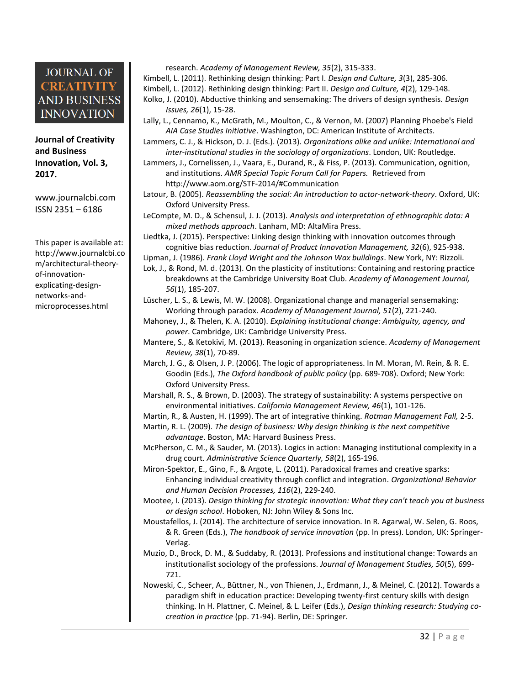**Journal of Creativity and Business Innovation, Vol. 3, 2017.**

[www.journalcbi.com](http://www.journalcbi.com/) ISSN 2351 – 6186

This paper is available at: [http://www.journalcbi.co](http://www.journalcbi.com/ideation-using-analogies.html) [m/architectural-theory](http://www.journalcbi.com/ideation-using-analogies.html)[of-innovation](http://www.journalcbi.com/ideation-using-analogies.html)[explicating-design](http://www.journalcbi.com/ideation-using-analogies.html)[networks-and](http://www.journalcbi.com/ideation-using-analogies.html)[microprocesses.html](http://www.journalcbi.com/ideation-using-analogies.html)

- research. *Academy of Management Review, 35*(2), 315-333. Kimbell, L. (2011). Rethinking design thinking: Part I. *Design and Culture, 3*(3), 285-306. Kimbell, L. (2012). Rethinking design thinking: Part II. *Design and Culture, 4*(2), 129-148. Kolko, J. (2010). Abductive thinking and sensemaking: The drivers of design synthesis. *Design* 
	- *Issues, 26*(1), 15-28.
- Lally, L., Cennamo, K., McGrath, M., Moulton, C., & Vernon, M. (2007) Planning Phoebe's Field *AIA Case Studies Initiative*. Washington, DC: American Institute of Architects.
- Lammers, C. J., & Hickson, D. J. (Eds.). (2013). *Organizations alike and unlike: International and inter-institutional studies in the sociology of organizations*. London, UK: Routledge.
- Lammers, J., Cornelissen, J., Vaara, E., Durand, R., & Fiss, P. (2013). Communication, ognition, and institutions. *AMR Special Topic Forum Call for Papers.* Retrieved from
	- <http://www.aom.org/STF-2014/#Communication>
- Latour, B. (2005). *Reassembling the social: An introduction to actor-network-theory*. Oxford, UK: Oxford University Press.
- LeCompte, M. D., & Schensul, J. J. (2013). *Analysis and interpretation of ethnographic data: A mixed methods approach*. Lanham, MD: AltaMira Press.

Liedtka, J. (2015). Perspective: Linking design thinking with innovation outcomes through cognitive bias reduction. *Journal of Product Innovation Management, 32*(6), 925-938.

Lipman, J. (1986). *Frank Lloyd Wright and the Johnson Wax buildings*. New York, NY: Rizzoli.

Lok, J., & Rond, M. d. (2013). On the plasticity of institutions: Containing and restoring practice breakdowns at the Cambridge University Boat Club. *Academy of Management Journal, 56*(1), 185-207.

Lüscher, L. S., & Lewis, M. W. (2008). Organizational change and managerial sensemaking: Working through paradox. *Academy of Management Journal, 51*(2), 221-240.

- Mahoney, J., & Thelen, K. A. (2010). *Explaining institutional change: Ambiguity, agency, and power*. Cambridge, UK: Cambridge University Press.
- Mantere, S., & Ketokivi, M. (2013). Reasoning in organization science. *Academy of Management Review, 38*(1), 70-89.
- March, J. G., & Olsen, J. P. (2006). The logic of appropriateness. In M. Moran, M. Rein, & R. E. Goodin (Eds.), *The Oxford handbook of public policy* (pp. 689-708). Oxford; New York: Oxford University Press.
- Marshall, R. S., & Brown, D. (2003). The strategy of sustainability: A systems perspective on environmental initiatives. *California Management Review, 46*(1), 101-126.

Martin, R., & Austen, H. (1999). The art of integrative thinking. *Rotman Management Fall,* 2-5.

- Martin, R. L. (2009). *The design of business: Why design thinking is the next competitive advantage*. Boston, MA: Harvard Business Press.
- McPherson, C. M., & Sauder, M. (2013). Logics in action: Managing institutional complexity in a drug court. *Administrative Science Quarterly, 58*(2), 165-196.
- Miron-Spektor, E., Gino, F., & Argote, L. (2011). Paradoxical frames and creative sparks: Enhancing individual creativity through conflict and integration. *Organizational Behavior and Human Decision Processes, 116*(2), 229-240.

Mootee, I. (2013). *Design thinking for strategic innovation: What they can't teach you at business or design school*. Hoboken, NJ: John Wiley & Sons Inc.

- Moustafellos, J. (2014). The architecture of service innovation. In R. Agarwal, W. Selen, G. Roos, & R. Green (Eds.), *The handbook of service innovation* (pp. In press). London, UK: Springer-Verlag.
- Muzio, D., Brock, D. M., & Suddaby, R. (2013). Professions and institutional change: Towards an institutionalist sociology of the professions. *Journal of Management Studies, 50*(5), 699- 721.
- Noweski, C., Scheer, A., Büttner, N., von Thienen, J., Erdmann, J., & Meinel, C. (2012). Towards a paradigm shift in education practice: Developing twenty-first century skills with design thinking. In H. Plattner, C. Meinel, & L. Leifer (Eds.), *Design thinking research: Studying cocreation in practice* (pp. 71-94). Berlin, DE: Springer.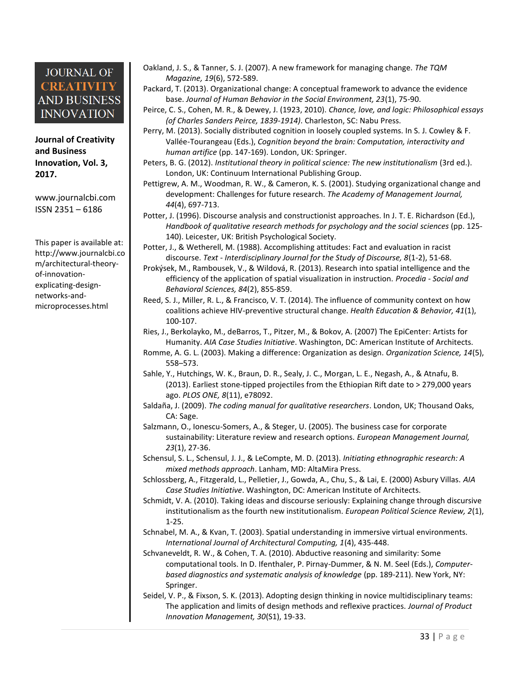**Journal of Creativity and Business Innovation, Vol. 3, 2017.**

[www.journalcbi.com](http://www.journalcbi.com/) ISSN 2351 – 6186

This paper is available at: [http://www.journalcbi.co](http://www.journalcbi.com/ideation-using-analogies.html) [m/architectural-theory](http://www.journalcbi.com/ideation-using-analogies.html)[of-innovation](http://www.journalcbi.com/ideation-using-analogies.html)[explicating-design](http://www.journalcbi.com/ideation-using-analogies.html)[networks-and](http://www.journalcbi.com/ideation-using-analogies.html)[microprocesses.html](http://www.journalcbi.com/ideation-using-analogies.html)

- Oakland, J. S., & Tanner, S. J. (2007). A new framework for managing change. *The TQM Magazine, 19*(6), 572-589.
- Packard, T. (2013). Organizational change: A conceptual framework to advance the evidence base. *Journal of Human Behavior in the Social Environment, 23*(1), 75-90.

Peirce, C. S., Cohen, M. R., & Dewey, J. (1923, 2010). *Chance, love, and logic: Philosophical essays (of Charles Sanders Peirce, 1839-1914)*. Charleston, SC: Nabu Press.

- Perry, M. (2013). Socially distributed cognition in loosely coupled systems. In S. J. Cowley & F. Vallée-Tourangeau (Eds.), *Cognition beyond the brain: Computation, interactivity and human artifice* (pp. 147-169). London, UK: Springer.
- Peters, B. G. (2012). *Institutional theory in political science: The new institutionalism* (3rd ed.). London, UK: Continuum International Publishing Group.
- Pettigrew, A. M., Woodman, R. W., & Cameron, K. S. (2001). Studying organizational change and development: Challenges for future research. *The Academy of Management Journal, 44*(4), 697-713.
- Potter, J. (1996). Discourse analysis and constructionist approaches. In J. T. E. Richardson (Ed.), *Handbook of qualitative research methods for psychology and the social sciences* (pp. 125- 140). Leicester, UK: British Psychological Society.

Potter, J., & Wetherell, M. (1988). Accomplishing attitudes: Fact and evaluation in racist discourse. *Text - Interdisciplinary Journal for the Study of Discourse, 8*(1-2), 51-68.

- Prokýsek, M., Rambousek, V., & Wildová, R. (2013). Research into spatial intelligence and the efficiency of the application of spatial visualization in instruction. *Procedia - Social and Behavioral Sciences, 84*(2), 855-859.
- Reed, S. J., Miller, R. L., & Francisco, V. T. (2014). The influence of community context on how coalitions achieve HIV-preventive structural change. *Health Education & Behavior, 41*(1), 100-107.
- Ries, J., Berkolayko, M., deBarros, T., Pitzer, M., & Bokov, A. (2007) The EpiCenter: Artists for Humanity. *AIA Case Studies Initiative*. Washington, DC: American Institute of Architects.
- Romme, A. G. L. (2003). Making a difference: Organization as design. *Organization Science, 14*(5), 558–573.
- Sahle, Y., Hutchings, W. K., Braun, D. R., Sealy, J. C., Morgan, L. E., Negash, A., & Atnafu, B. (2013). Earliest stone-tipped projectiles from the Ethiopian Rift date to > 279,000 years ago. *PLOS ONE, 8*(11), e78092.
- Saldaña, J. (2009). *The coding manual for qualitative researchers*. London, UK; Thousand Oaks, CA: Sage.
- Salzmann, O., Ionescu-Somers, A., & Steger, U. (2005). The business case for corporate sustainability: Literature review and research options. *European Management Journal, 23*(1), 27-36.
- Schensul, S. L., Schensul, J. J., & LeCompte, M. D. (2013). *Initiating ethnographic research: A mixed methods approach*. Lanham, MD: AltaMira Press.
- Schlossberg, A., Fitzgerald, L., Pelletier, J., Gowda, A., Chu, S., & Lai, E. (2000) Asbury Villas. *AIA Case Studies Initiative*. Washington, DC: American Institute of Architects.
- Schmidt, V. A. (2010). Taking ideas and discourse seriously: Explaining change through discursive institutionalism as the fourth new institutionalism. *European Political Science Review, 2*(1), 1-25.
- Schnabel, M. A., & Kvan, T. (2003). Spatial understanding in immersive virtual environments. *International Journal of Architectural Computing, 1*(4), 435-448.
- Schvaneveldt, R. W., & Cohen, T. A. (2010). Abductive reasoning and similarity: Some computational tools. In D. Ifenthaler, P. Pirnay-Dummer, & N. M. Seel (Eds.), *Computerbased diagnostics and systematic analysis of knowledge* (pp. 189-211). New York, NY: Springer.
- Seidel, V. P., & Fixson, S. K. (2013). Adopting design thinking in novice multidisciplinary teams: The application and limits of design methods and reflexive practices. *Journal of Product Innovation Management, 30*(S1), 19-33.